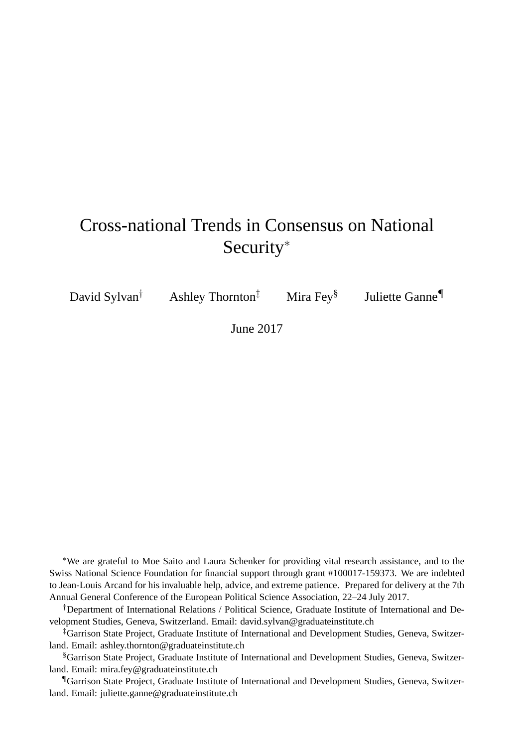# Cross-national Trends in Consensus on National Security<sup>∗</sup>

| David Sylvan <sup><math>\uparrow</math></sup><br>Ashley Thornton <sup><math>\ddagger</math></sup> | Mira Fey <sup>§</sup> | Juliette Ganne |
|---------------------------------------------------------------------------------------------------|-----------------------|----------------|
|---------------------------------------------------------------------------------------------------|-----------------------|----------------|

June 2017

∗We are grateful to Moe Saito and Laura Schenker for providing vital research assistance, and to the Swiss National Science Foundation for financial support through grant #100017-159373. We are indebted to Jean-Louis Arcand for his invaluable help, advice, and extreme patience. Prepared for delivery at the 7th Annual General Conference of the European Political Science Association, 22–24 July 2017.

†Department of International Relations / Political Science, Graduate Institute of International and Development Studies, Geneva, Switzerland. Email: david.sylvan@graduateinstitute.ch

‡Garrison State Project, Graduate Institute of International and Development Studies, Geneva, Switzerland. Email: ashley.thornton@graduateinstitute.ch

§Garrison State Project, Graduate Institute of International and Development Studies, Geneva, Switzerland. Email: mira.fey@graduateinstitute.ch

¶Garrison State Project, Graduate Institute of International and Development Studies, Geneva, Switzerland. Email: juliette.ganne@graduateinstitute.ch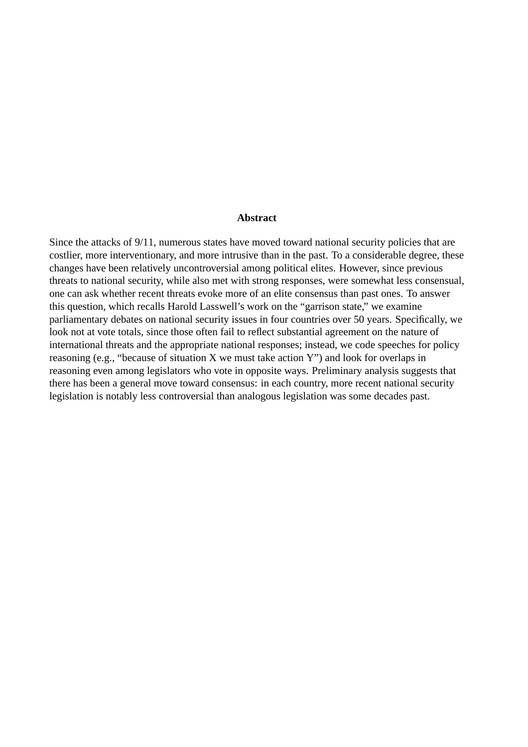#### **Abstract**

Since the attacks of 9/11, numerous states have moved toward national security policies that are costlier, more interventionary, and more intrusive than in the past. To a considerable degree, these changes have been relatively uncontroversial among political elites. However, since previous threats to national security, while also met with strong responses, were somewhat less consensual, one can ask whether recent threats evoke more of an elite consensus than past ones. To answer this question, which recalls Harold Lasswell's work on the "garrison state," we examine parliamentary debates on national security issues in four countries over 50 years. Specifically, we look not at vote totals, since those often fail to reflect substantial agreement on the nature of international threats and the appropriate national responses; instead, we code speeches for policy reasoning (e.g., "because of situation X we must take action Y") and look for overlaps in reasoning even among legislators who vote in opposite ways. Preliminary analysis suggests that there has been a general move toward consensus: in each country, more recent national security legislation is notably less controversial than analogous legislation was some decades past.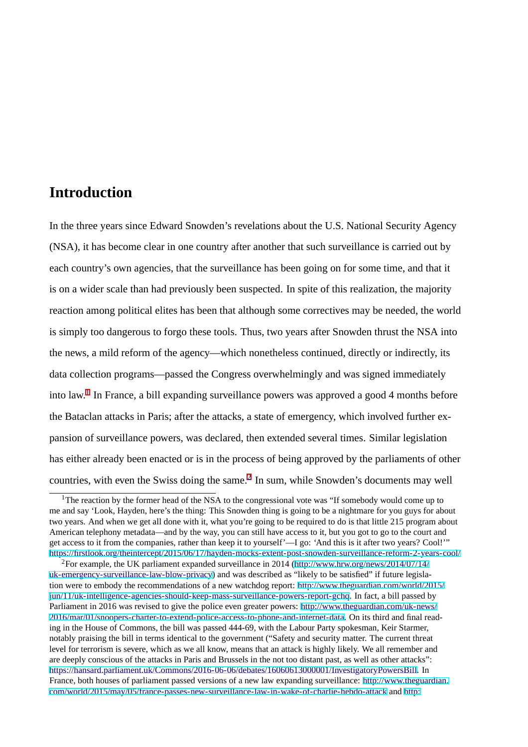## **Introduction**

In the three years since Edward Snowden's revelations about the U.S. National Security Agency (NSA), it has become clear in one country after another that such surveillance is carried out by each country's own agencies, that the surveillance has been going on for some time, and that it is on a wider scale than had previously been suspected. In spite of this realization, the majority reaction among political elites has been that although some correctives may be needed, the world is simply too dangerous to forgo these tools. Thus, two years after Snowden thrust the NSA into the news, a mild reform of the agency—which nonetheless continued, directly or indirectly, its data collection programs—passed the Congress overwhelmingly and was signed immediately into law.<sup>1</sup> In France, a bill expanding surveillance powers was approved a good 4 months before the Bataclan attacks in Paris; after the attacks, a state of emergency, which involved further expansion of surveillance powers, was declared, then extended several times. Similar legislation has either already been enacted or is in the process of being approved by the parliaments of other countries, with even the Swiss doing the same.<sup>2</sup> In sum, while Snowden's documents may well

<sup>&</sup>lt;sup>1</sup>The reaction by the former head of the NSA to the congressional vote was "If somebody would come up to me and say 'Look, Hayden, here's the thing: This Snowden thing is going to be a nightmare for you guys for about two years. And when we get all done with it, what you're going to be required to do is that little 215 program about American telephony metadata—and by the way, you can still have access to it, but you got to go to the court and get access to it from the companies, rather than keep it to yourself'—I go: 'And this is it after two years? Cool!'" https://firstlook.org/theintercept/2015/06/17/hayden-mocks-extent-post-snowden-surveillance-reform-2-years-cool/

<sup>&</sup>lt;sup>2</sup>For example, the UK parliament expanded surveillance in 2014 (http://www.hrw.org/news/2014/07/14/ uk-emergency-surveillance-law-blow-privacy) and was described as "likely to be satisfied" if future legislation were to embody the recommendations of a new watchdog report: http://www.theguardian.com/world/2015/ jun/11/uk-intelligence-agencies-should-keep-mass-surveillance-powers-report-gchq. In fact, a bill passed by Parliament in 2016 was revised to give the police even greater powers: [http://www.theguardian.com/uk-new](http://www.hrw.org/news/2014/07/14/uk-emergency-surveillance-law-blow-privacy)s/ [2016/mar/01/snoopers-charter-to-extend-polic](http://www.hrw.org/news/2014/07/14/uk-emergency-surveillance-law-blow-privacy)e-access-to-phone-and-internet-data. On its third and final reading in the House of Commons, the bill was passed 444-69, with the L[abour Party spokesman, Keir Starmer,](http://www.theguardian.com/world/2015/jun/11/uk-intelligence-agencies-should-keep-mass-surveillance-powers-report-gchq) [notably praising the bill in terms identical to the government \("Safety and security ma](http://www.theguardian.com/world/2015/jun/11/uk-intelligence-agencies-should-keep-mass-surveillance-powers-report-gchq)tter. The current threat level for terrorism is severe, which as we all know, means that an attac[k is highly likely. We all remember and](http://www.theguardian.com/uk-news/2016/mar/01/snoopers-charter-to-extend-police-access-to-phone-and-internet-data) [are deeply conscious of the attacks in Paris and Brussels in the not too distant past, a](http://www.theguardian.com/uk-news/2016/mar/01/snoopers-charter-to-extend-police-access-to-phone-and-internet-data)s well as other attacks": https://hansard.parliament.uk/Commons/2016-06-06/debates/16060613000001/InvestigatoryPowersBill. In France, both houses of parliament passed versions of a new law expanding surveillance: http://www.theguardian. com/world/2015/may/05/france-passes-new-surveillance-law-in-wake-of-charlie-hebdo-attack and http: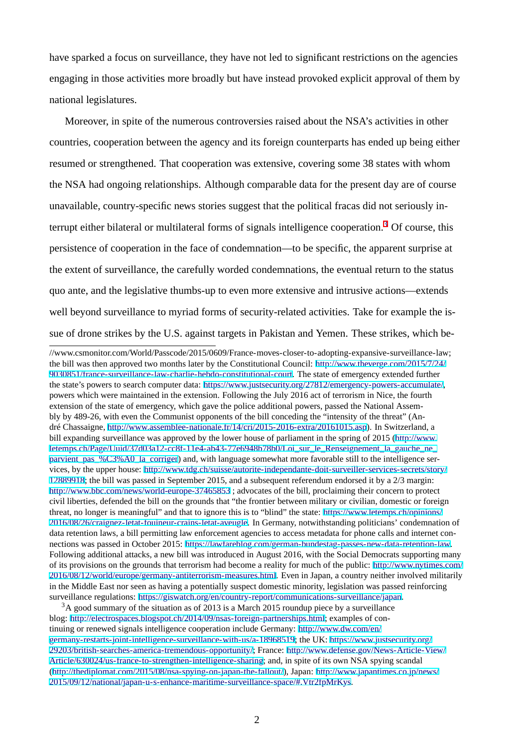have sparked a focus on surveillance, they have not led to significant restrictions on the agencies engaging in those activities more broadly but have instead provoked explicit approval of them by national legislatures.

Moreover, in spite of the numerous controversies raised about the NSA's activities in other countries, cooperation between the agency and its foreign counterparts has ended up being either resumed or strengthened. That cooperation was extensive, covering some 38 states with whom the NSA had ongoing relationships. Although comparable data for the present day are of course unavailable, country-specific news stories suggest that the political fracas did not seriously interrupt either bilateral or multilateral forms of signals intelligence cooperation.<sup>3</sup> Of course, this persistence of cooperation in the face of condemnation—to be specific, the apparent surprise at the extent of surveillance, the carefully worded condemnations, the eventual return to the status quo ante, and the legislative thumbs-up to even more extensive and intrusive actions—extends well beyond surveillance to myriad forms of security-related activities. Take for example the issue of drone strikes by the U.S. against targets in Pakistan and Yemen. These strikes, which be-

//www.csmonitor.com/World/Passcode/2015/0609/France-moves-closer-to-adopting-expansive-surveillance-law; the bill was then approved two months later by the Constitutional Council: http://www.theverge.com/2015/7/24/ 9030851/france-surveillance-law-charlie-hebdo-constitutional-court. The state of emergency extended further the state's powers to search computer data: https://www.justsecurity.org/27812/emergency-powers-accumulate/, powers which were maintained in the extension. Following the July 2016 act of terrorism in Nice, the fourth extension of the state of emergency, which gave the police additional powe[rs, passed the National Assem](http://www.theverge.com/2015/7/24/9030851/france-surveillance-law-charlie-hebdo-constitutional-court)[bly by 489-26, with even the Communist opponents of the bill conce](http://www.theverge.com/2015/7/24/9030851/france-surveillance-law-charlie-hebdo-constitutional-court)ding the "intensity of the threat" (André Chassaigne, http://www.assemblee-nationale.fr/14/cri/2015-2016-extra/20161015.asp). In Switzerland, a bill expanding surveillance was approved by the lower house of parliament in the spring of 2015 (http://www. letemps.ch/Page/Uuid/37d03a12-cc8f-11e4-ab43-77e6948b78b0/Loi\_sur\_le\_Renseignement\_la\_gauche\_ne\_ parvient\_pas\_%C3%A0\_la\_corriger) and, with language somewhat more favorable still to the intelligence services, by the upper house: [http://www.tdg.ch/suisse/autorite-independante-doit-surveiller-](http://www.assemblee-nationale.fr/14/cri/2015-2016-extra/20161015.asp)services-secrets/story/ 12889918; the bill was passed in September 2015, and a subsequent referendum endorsed it by a [2/3 margin:](http://www.letemps.ch/Page/Uuid/37d03a12-cc8f-11e4-ab43-77e6948b78b0/Loi_sur_le_Renseignement_la_gauche_ne_parvient_pas_%C3%A0_la_corriger) http://www.bbc.com/news/world-europe-37465853 [; advocates of the bill, proclaiming their concern to protect](http://www.letemps.ch/Page/Uuid/37d03a12-cc8f-11e4-ab43-77e6948b78b0/Loi_sur_le_Renseignement_la_gauche_ne_parvient_pas_%C3%A0_la_corriger) [civil liberties, defended the bill on th](http://www.letemps.ch/Page/Uuid/37d03a12-cc8f-11e4-ab43-77e6948b78b0/Loi_sur_le_Renseignement_la_gauche_ne_parvient_pas_%C3%A0_la_corriger)e grounds that "the frontier between military or civilian, domestic or foreign threat, no longer is meani[ngful" and that to ignore this is to "blind" the state:](http://www.tdg.ch/suisse/autorite-independante-doit-surveiller-services-secrets/story/12889918) https://www.letemps.ch/opinions/ [2016/08/2](http://www.tdg.ch/suisse/autorite-independante-doit-surveiller-services-secrets/story/12889918)6/craignez-letat-fouineur-crains-letat-aveugle. In Germany, notwithstanding politicians' condemnation of [data retention laws, a bill permitting law enforceme](http://www.bbc.com/news/world-europe-37465853)nt agencies to access metadata for phone calls and internet connections was passed in October 2015: https://lawfareblog.com/german-bundestag-passes-new-data-retention-law. Following additional attacks, a new bill was introduced in August 2016, with the Social Democrats supporting many of its provisions on the grounds that terrorism had become a reality for much of the public: http://www.nytimes.com/ 2016/08/12/world/europe/germany-antiterrorism-measures.html. Even in Japan, a country neither involved militarily in the Middle East nor seen as having a potentially suspect domestic minority, legislation was passed reinforcing surveillance regulations: https://giswatch.org/en/country-report/communications-surveillance/japan.

 $3A$  good summary of the situation as of 2013 is a March 2015 roundup piece by a surve[illance](http://www.nytimes.com/2016/08/12/world/europe/germany-antiterrorism-measures.html) blog: [http://electrospaces.blogspot.ch/2014/09/nsas-foreign-part](http://www.nytimes.com/2016/08/12/world/europe/germany-antiterrorism-measures.html)nerships.html; examples of continuing or renewed signals intelligence cooperation include Germany: http://www.dw.com/en/ germany-restarts-joint-intelligence-surveillance-with-us/a-18968519; the UK: https://www.justsecurity.org/ 29203/british-searches-america-tremendous-opportunity/; France: http://www.defense.gov/News-Article-View/ Articl[e/630024/us-france-to-strengthen-intelligence-sharing; and, in spite of i](http://electrospaces.blogspot.ch/2014/09/nsas-foreign-partnerships.html)ts own NSA spying scandal (http://thediplomat.com/2015/08/nsa-spying-on-japan-the-fallout/), Japan: [http://www.japanti](http://www.dw.com/en/germany-restarts-joint-intelligence-surveillance-with-us/a-18968519)mes.co.jp/news/ [2015/09/12/national/japan-u-s-enhance-maritime-surveillance-space/](http://www.dw.com/en/germany-restarts-joint-intelligence-surveillance-with-us/a-18968519)#.Vtr2fpMrKys.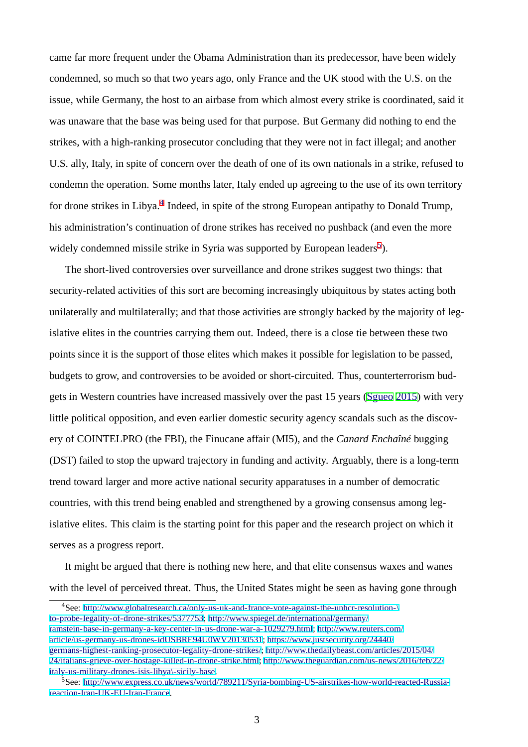came far more frequent under the Obama Administration than its predecessor, have been widely condemned, so much so that two years ago, only France and the UK stood with the U.S. on the issue, while Germany, the host to an airbase from which almost every strike is coordinated, said it was unaware that the base was being used for that purpose. But Germany did nothing to end the strikes, with a high-ranking prosecutor concluding that they were not in fact illegal; and another U.S. ally, Italy, in spite of concern over the death of one of its own nationals in a strike, refused to condemn the operation. Some months later, Italy ended up agreeing to the use of its own territory for drone strikes in Libya.<sup>4</sup> Indeed, in spite of the strong European antipathy to Donald Trump, his administration's continuation of drone strikes has received no pushback (and even the more widely condemned missile strike in Syria was supported by European leaders<sup>5</sup>).

The short-lived controversies over surveillance and drone strikes suggest two things: that security-related activities of this sort are becoming increasingly ubiquitous by states acting both unilaterally and multilaterally; and that those activities are strongly backed by the majority of legislative elites in the countries carrying them out. Indeed, there is a close tie between these two points since it is the support of those elites which makes it possible for legislation to be passed, budgets to grow, and controversies to be avoided or short-circuited. Thus, counterterrorism budgets in Western countries have increased massively over the past 15 years (Sgueo 2015) with very little political opposition, and even earlier domestic security agency scandals such as the discovery of COINTELPRO (the FBI), the Finucane affair (MI5), and the *Canar[d Enchaîné](#page-28-0)* bugging (DST) failed to stop the upward trajectory in funding and activity. Arguably, there is a long-term trend toward larger and more active national security apparatuses in a number of democratic countries, with this trend being enabled and strengthened by a growing consensus among legislative elites. This claim is the starting point for this paper and the research project on which it serves as a progress report.

It might be argued that there is nothing new here, and that elite consensus waxes and wanes with the level of perceived threat. Thus, the United States might be seen as having gone through

<sup>4</sup>See: http://www.globalresearch.ca/only-us-uk-and-france-vote-against-the-unhcr-resolution-\ to-probe-legality-of-drone-strikes/5377753; http://www.spiegel.de/international/germany/ ramstein-base-in-germany-a-key-center-in-us-drone-war-a-1029279.html; http://www.reuters.com/ article/us-germany-us-drones-idUSBRE94U0WV20130531; https://www.justsecurity.org/24440/ germans-[highest-ranking-prosecutor-legality-drone-strikes/;](http://www.globalresearch.ca/only-us-uk-and-france-vote-against-the-unhcr-resolution-/to -probe-legality-of-drone-strikes/5377753) http://www.thedailybeast.com/articles/2015/04/ [24/italians-grieve-over-hostage-killed-in-dr](http://www.globalresearch.ca/only-us-uk-and-france-vote-against-the-unhcr-resolution-/to -probe-legality-of-drone-strikes/5377753)one-strike.html; [http://www.theguardian.com/u](http://www.spiegel.de/international/germany/ramstein-base-in-germany-a-key-center-in-us-drone-war-a-1029279.html)s-news/2016/feb/22/ [italy-us-military-drones-isis-libya\-sicily-base.](http://www.spiegel.de/international/germany/ramstein-base-in-germany-a-key-center-in-us-drone-war-a-1029279.html)

<sup>5</sup>See: [http://www.express.co.uk/news/world/789211/Syri](http://www.reuters.com/article/us-germany-us-drones-idUSBRE94U0WV20130531)a-bombing-US-airstrikes-how-world-reacted-Russiareaction-Iran-UK-EU-Iran-France.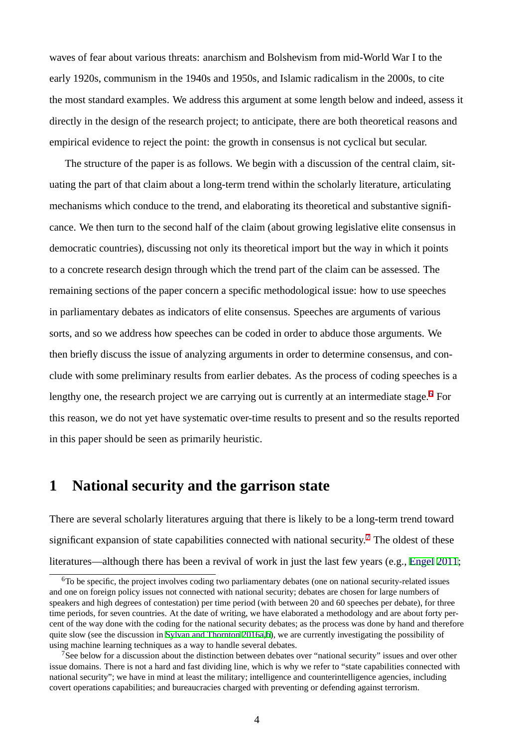waves of fear about various threats: anarchism and Bolshevism from mid-World War I to the early 1920s, communism in the 1940s and 1950s, and Islamic radicalism in the 2000s, to cite the most standard examples. We address this argument at some length below and indeed, assess it directly in the design of the research project; to anticipate, there are both theoretical reasons and empirical evidence to reject the point: the growth in consensus is not cyclical but secular.

The structure of the paper is as follows. We begin with a discussion of the central claim, situating the part of that claim about a long-term trend within the scholarly literature, articulating mechanisms which conduce to the trend, and elaborating its theoretical and substantive significance. We then turn to the second half of the claim (about growing legislative elite consensus in democratic countries), discussing not only its theoretical import but the way in which it points to a concrete research design through which the trend part of the claim can be assessed. The remaining sections of the paper concern a specific methodological issue: how to use speeches in parliamentary debates as indicators of elite consensus. Speeches are arguments of various sorts, and so we address how speeches can be coded in order to abduce those arguments. We then briefly discuss the issue of analyzing arguments in order to determine consensus, and conclude with some preliminary results from earlier debates. As the process of coding speeches is a lengthy one, the research project we are carrying out is currently at an intermediate stage.<sup>6</sup> For this reason, we do not yet have systematic over-time results to present and so the results reported in this paper should be seen as primarily heuristic.

## **1 National security and the garrison state**

There are several scholarly literatures arguing that there is likely to be a long-term trend toward significant expansion of state capabilities connected with national security.<sup>7</sup> The oldest of these literatures—although there has been a revival of work in just the last few years (e.g., Engel 2011;

<sup>&</sup>lt;sup>6</sup>To be specific, the project involves coding two parliamentary debates (one on national security-related issues and one on foreign policy issues not connected with national security; debates are chosen for large numbers of speakers and high degrees of contestation) per time period (with between 20 and 60 speeches per deb[ate\), for three](#page-26-0) time periods, for seven countries. At the date of writing, we have elaborated a methodology and are about forty percent of the way done with the coding for the national security debates; as the process was done by hand and therefore quite slow (see the discussion in Sylvan and Thornton 2016a,b), we are currently investigating the possibility of using machine learning techniques as a way to handle several debates.

<sup>&</sup>lt;sup>7</sup>See below for a discussion about the distinction between debates over "national security" issues and over other issue domains. There is not a hard and fast dividing line, which is why we refer to "state capabilities connected with national security"; we have in m[ind at least the military; intellig](#page-29-0)ence and counterintelligence agencies, including covert operations capabilities; and bureaucracies charged with preventing or defending against terrorism.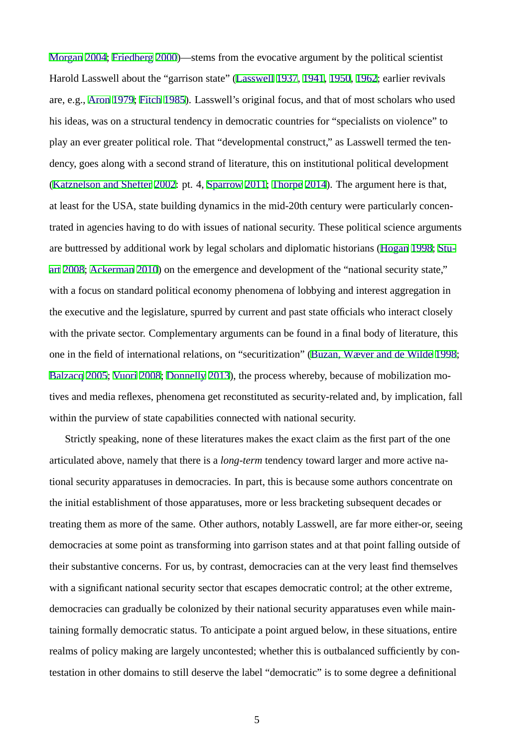Morgan 2004; Friedberg 2000)—stems from the evocative argument by the political scientist Harold Lasswell about the "garrison state" (Lasswell 1937, 1941, 1950, 1962; earlier revivals [are, e.g.](#page-27-0), [Aron](#page-27-0) [1979;](#page-26-0) Fitc[h 198](#page-26-0)5). Lasswell's original focus, and that of most scholars who used his ideas, was on a structural tendency in de[mocratic](#page-27-0) [count](#page-27-0)r[ies for "spe](#page-27-0)c[ialists](#page-27-0) on violence" to play an e[ver greater](#page-26-0) [political role](#page-26-0). That "developmental construct," as Lasswell termed the tendency, goes along with a second strand of literature, this on institutional political development (Katznelson and Shefter 2002: pt. 4, Sparrow 2011; Thorpe 2014). The argument here is that, at least for the USA, state building dynamics in the mid-20th century were particularly concent[rated in agencies having to do](#page-27-0) with i[ssues of](#page-28-0) [nation](#page-28-0)[al security. Th](#page-29-0)ese political science arguments are buttressed by additional work by legal scholars and diplomatic historians (Hogan 1998; Stuart 2008; Ackerman 2010) on the emergence and development of the "national security state," with a focus on standard political economy phenomena of lobbying and intere[st aggregatio](#page-27-0)[n in](#page-28-0) [the execu](#page-28-0)[tive and the legis](#page-26-0)lature, spurred by current and past state officials who interact closely with the private sector. Complementary arguments can be found in a final body of literature, this one in the field of international relations, on "securitization" (Buzan, Wæver and de Wilde 1998; Balzacq 2005; Vuori 2008; Donnelly 2013), the process whereby, because of mobilization motives and media reflexes, phenomena get reconstituted as sec[urity-related and, by implication, fa](#page-26-0)ll [within the pur](#page-26-0)[view of state](#page-29-0) [capabilities con](#page-26-0)nected with national security.

Strictly speaking, none of these literatures makes the exact claim as the first part of the one articulated above, namely that there is a *long-term* tendency toward larger and more active national security apparatuses in democracies. In part, this is because some authors concentrate on the initial establishment of those apparatuses, more or less bracketing subsequent decades or treating them as more of the same. Other authors, notably Lasswell, are far more either-or, seeing democracies at some point as transforming into garrison states and at that point falling outside of their substantive concerns. For us, by contrast, democracies can at the very least find themselves with a significant national security sector that escapes democratic control; at the other extreme, democracies can gradually be colonized by their national security apparatuses even while maintaining formally democratic status. To anticipate a point argued below, in these situations, entire realms of policy making are largely uncontested; whether this is outbalanced sufficiently by contestation in other domains to still deserve the label "democratic" is to some degree a definitional

5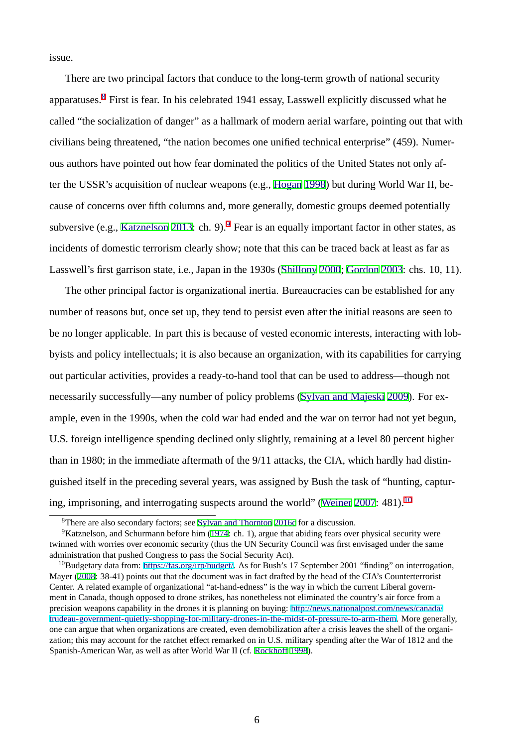issue.

There are two principal factors that conduce to the long-term growth of national security apparatuses.8 First is fear. In his celebrated 1941 essay, Lasswell explicitly discussed what he called "the socialization of danger" as a hallmark of modern aerial warfare, pointing out that with civilians being threatened, "the nation becomes one unified technical enterprise" (459). Numerous authors have pointed out how fear dominated the politics of the United States not only after the USSR's acquisition of nuclear weapons (e.g., Hogan 1998) but during World War II, because of concerns over fifth columns and, more generally, domestic groups deemed potentially subversive (e.g., Katznelson 2013: ch. 9). Fear is a[n equally imp](#page-27-0)ortant factor in other states, as incidents of domestic terrorism clearly show; note that this can be traced back at least as far as Lasswell's first [garrison state, i.e.,](#page-27-0) Japan in the 1930s (Shillony 2000; Gordon 2003: chs. 10, 11).

The other principal factor is organizational inertia. Bureaucracies can be established for any number of reasons but, once set up, they tend to persis[t even after the](#page-28-0) [initial reasons](#page-26-0) are seen to be no longer applicable. In part this is because of vested economic interests, interacting with lobbyists and policy intellectuals; it is also because an organization, with its capabilities for carrying out particular activities, provides a ready-to-hand tool that can be used to address—though not necessarily successfully—any number of policy problems (Sylvan and Majeski 2009). For example, even in the 1990s, when the cold war had ended and the war on terror had not yet begun, U.S. foreign intelligence spending declined only slightly, r[emaining at a level 80 perc](#page-29-0)ent higher than in 1980; in the immediate aftermath of the 9/11 attacks, the CIA, which hardly had distinguished itself in the preceding several years, was assigned by Bush the task of "hunting, capturing, imprisoning, and interrogating suspects around the world" (Weiner 2007: 481).<sup>10</sup>

<sup>8</sup>There are also secondary factors; see Sylvan and Thornton 2016c for a discussion.

 $9$ Katznelson, and Schurmann before him (1974: ch. 1), argue that abiding fears over physical security were twinned with worries over economic security (thus the UN Security Council [was first](#page-29-0) [envisag](#page-29-0)ed under the same administration that pushed Congress to pass the Social Security Act).

<sup>&</sup>lt;sup>10</sup>Budgetary data from: https://fas.org/i[rp/budget/. As for Bush's 17](#page-29-0) September 2001 "finding" on interrogation, Mayer (2008: 38-41) points out that the docu[ment](#page-28-0) was in fact drafted by the head of the CIA's Counterterrorist Center. A related example of organizational "at-hand-edness" is the way in which the current Liberal government in Canada, though opposed to drone strikes, has nonetheless not eliminated the country's air force from a precision weapons capability in the drones it is planning on buying: http://news.nationalpost.com/news/canada/ trudeau[-gove](#page-27-0)rnment-quietly-shopping-for-military-drones-in-the-midst-of-pressure-to-arm-them. More generally, one can argue that when organizations are created, even demobilization after a crisis leaves the shell of the organization; this may account for the ratchet effect remarked on in U.S. military spending after the War of 1812 and the Spanish-American War, as well as after World War II (cf. Rockhoff [1998\).](http://news.nationalpost.com/news/canada/trudeau-government-quietly-shopping-for-military-drones-in-the-midst-of-pressure-to-arm-them)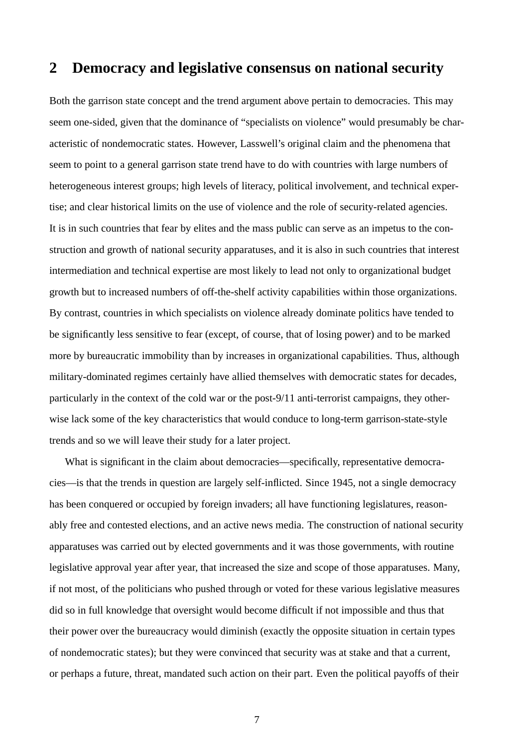## **2 Democracy and legislative consensus on national security**

Both the garrison state concept and the trend argument above pertain to democracies. This may seem one-sided, given that the dominance of "specialists on violence" would presumably be characteristic of nondemocratic states. However, Lasswell's original claim and the phenomena that seem to point to a general garrison state trend have to do with countries with large numbers of heterogeneous interest groups; high levels of literacy, political involvement, and technical expertise; and clear historical limits on the use of violence and the role of security-related agencies. It is in such countries that fear by elites and the mass public can serve as an impetus to the construction and growth of national security apparatuses, and it is also in such countries that interest intermediation and technical expertise are most likely to lead not only to organizational budget growth but to increased numbers of off-the-shelf activity capabilities within those organizations. By contrast, countries in which specialists on violence already dominate politics have tended to be significantly less sensitive to fear (except, of course, that of losing power) and to be marked more by bureaucratic immobility than by increases in organizational capabilities. Thus, although military-dominated regimes certainly have allied themselves with democratic states for decades, particularly in the context of the cold war or the post-9/11 anti-terrorist campaigns, they otherwise lack some of the key characteristics that would conduce to long-term garrison-state-style trends and so we will leave their study for a later project.

What is significant in the claim about democracies—specifically, representative democracies—is that the trends in question are largely self-inflicted. Since 1945, not a single democracy has been conquered or occupied by foreign invaders; all have functioning legislatures, reasonably free and contested elections, and an active news media. The construction of national security apparatuses was carried out by elected governments and it was those governments, with routine legislative approval year after year, that increased the size and scope of those apparatuses. Many, if not most, of the politicians who pushed through or voted for these various legislative measures did so in full knowledge that oversight would become difficult if not impossible and thus that their power over the bureaucracy would diminish (exactly the opposite situation in certain types of nondemocratic states); but they were convinced that security was at stake and that a current, or perhaps a future, threat, mandated such action on their part. Even the political payoffs of their

7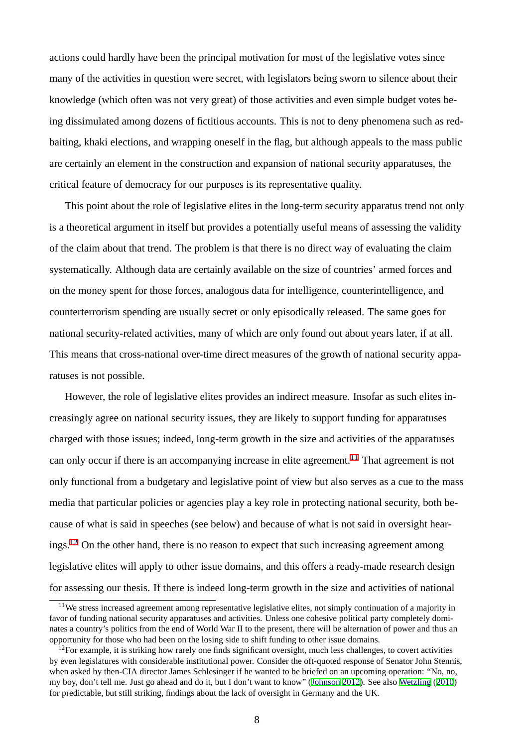actions could hardly have been the principal motivation for most of the legislative votes since many of the activities in question were secret, with legislators being sworn to silence about their knowledge (which often was not very great) of those activities and even simple budget votes being dissimulated among dozens of fictitious accounts. This is not to deny phenomena such as redbaiting, khaki elections, and wrapping oneself in the flag, but although appeals to the mass public are certainly an element in the construction and expansion of national security apparatuses, the critical feature of democracy for our purposes is its representative quality.

This point about the role of legislative elites in the long-term security apparatus trend not only is a theoretical argument in itself but provides a potentially useful means of assessing the validity of the claim about that trend. The problem is that there is no direct way of evaluating the claim systematically. Although data are certainly available on the size of countries' armed forces and on the money spent for those forces, analogous data for intelligence, counterintelligence, and counterterrorism spending are usually secret or only episodically released. The same goes for national security-related activities, many of which are only found out about years later, if at all. This means that cross-national over-time direct measures of the growth of national security apparatuses is not possible.

However, the role of legislative elites provides an indirect measure. Insofar as such elites increasingly agree on national security issues, they are likely to support funding for apparatuses charged with those issues; indeed, long-term growth in the size and activities of the apparatuses can only occur if there is an accompanying increase in elite agreement.<sup>11</sup> That agreement is not only functional from a budgetary and legislative point of view but also serves as a cue to the mass media that particular policies or agencies play a key role in protecting national security, both because of what is said in speeches (see below) and because of what is not said in oversight hearings.<sup>12</sup> On the other hand, there is no reason to expect that such increasing agreement among legislative elites will apply to other issue domains, and this offers a ready-made research design for assessing our thesis. If there is indeed long-term growth in the size and activities of national

<sup>&</sup>lt;sup>11</sup>We stress increased agreement among representative legislative elites, not simply continuation of a majority in favor of funding national security apparatuses and activities. Unless one cohesive political party completely dominates a country's politics from the end of World War II to the present, there will be alternation of power and thus an opportunity for those who had been on the losing side to shift funding to other issue domains.

 $12$ For example, it is striking how rarely one finds significant oversight, much less challenges, to covert activities by even legislatures with considerable institutional power. Consider the oft-quoted response of Senator John Stennis, when asked by then-CIA director James Schlesinger if he wanted to be briefed on an upcoming operation: "No, no, my boy, don't tell me. Just go ahead and do it, but I don't want to know" (Johnson 2012). See also Wetzling (2010) for predictable, but still striking, findings about the lack of oversight in Germany and the UK.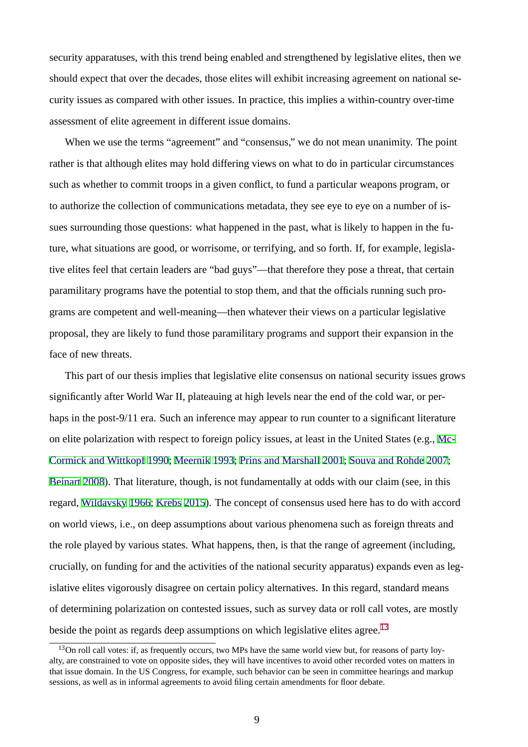security apparatuses, with this trend being enabled and strengthened by legislative elites, then we should expect that over the decades, those elites will exhibit increasing agreement on national security issues as compared with other issues. In practice, this implies a within-country over-time assessment of elite agreement in different issue domains.

When we use the terms "agreement" and "consensus," we do not mean unanimity. The point rather is that although elites may hold differing views on what to do in particular circumstances such as whether to commit troops in a given conflict, to fund a particular weapons program, or to authorize the collection of communications metadata, they see eye to eye on a number of issues surrounding those questions: what happened in the past, what is likely to happen in the future, what situations are good, or worrisome, or terrifying, and so forth. If, for example, legislative elites feel that certain leaders are "bad guys"—that therefore they pose a threat, that certain paramilitary programs have the potential to stop them, and that the officials running such programs are competent and well-meaning—then whatever their views on a particular legislative proposal, they are likely to fund those paramilitary programs and support their expansion in the face of new threats.

This part of our thesis implies that legislative elite consensus on national security issues grows significantly after World War II, plateauing at high levels near the end of the cold war, or perhaps in the post-9/11 era. Such an inference may appear to run counter to a significant literature on elite polarization with respect to foreign policy issues, at least in the United States (e.g., Mc-Cormick and Wittkopf 1990; Meernik 1993; Prins and Marshall 2001; Souva and Rohde 2007; Beinart 2008). That literature, though, is not fundamentally at odds with our claim (see, in [this](#page-27-0) regard, [Wildavsky 196](#page-27-0)6; [Krebs 2015\). The c](#page-27-0)[oncept of consensus used](#page-28-0) [here has to do with acco](#page-28-0)rd [on world view](#page-26-0)s, i.e., on deep assumptions about various phenomena such as foreign threats and the role [played by](#page-30-0) [variou](#page-30-0)[s states. Wh](#page-27-0)at happens, then, is that the range of agreement (including, crucially, on funding for and the activities of the national security apparatus) expands even as legislative elites vigorously disagree on certain policy alternatives. In this regard, standard means of determining polarization on contested issues, such as survey data or roll call votes, are mostly beside the point as regards deep assumptions on which legislative elites agree.<sup>13</sup>

 $13$ On roll call votes: if, as frequently occurs, two MPs have the same world view but, for reasons of party loyalty, are constrained to vote on opposite sides, they will have incentives to avoid other recorded votes on matters in that issue domain. In the US Congress, for example, such behavior can be seen in committee hearings and markup sessions, as well as in informal agreements to avoid filing certain amendments for floor debate.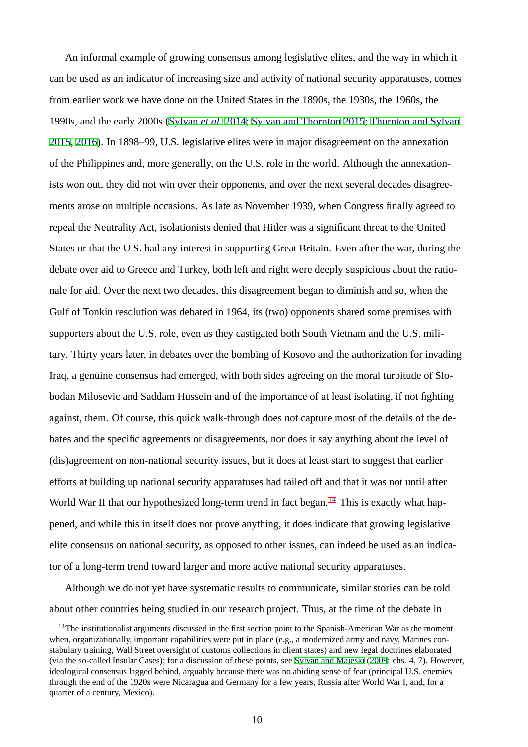An informal example of growing consensus among legislative elites, and the way in which it can be used as an indicator of increasing size and activity of national security apparatuses, comes from earlier work we have done on the United States in the 1890s, the 1930s, the 1960s, the 1990s, and the early 2000s (Sylvan *et al.* 2014; Sylvan and Thornton 2015; Thornton and Sylvan 2015, 2016). In 1898–99, U.S. legislative elites were in major disagreement on the annexation of the Philippines and, mor[e generally, on the U.S. role in the world.](#page-29-0) [Although the annexation](#page-29-0)[ists won ou](#page-29-0)t, they did not win over their opponents, and over the next several decades disagreements arose on multiple occasions. As late as November 1939, when Congress finally agreed to repeal the Neutrality Act, isolationists denied that Hitler was a significant threat to the United States or that the U.S. had any interest in supporting Great Britain. Even after the war, during the debate over aid to Greece and Turkey, both left and right were deeply suspicious about the rationale for aid. Over the next two decades, this disagreement began to diminish and so, when the Gulf of Tonkin resolution was debated in 1964, its (two) opponents shared some premises with supporters about the U.S. role, even as they castigated both South Vietnam and the U.S. military. Thirty years later, in debates over the bombing of Kosovo and the authorization for invading Iraq, a genuine consensus had emerged, with both sides agreeing on the moral turpitude of Slobodan Milosevic and Saddam Hussein and of the importance of at least isolating, if not fighting against, them. Of course, this quick walk-through does not capture most of the details of the debates and the specific agreements or disagreements, nor does it say anything about the level of (dis)agreement on non-national security issues, but it does at least start to suggest that earlier efforts at building up national security apparatuses had tailed off and that it was not until after World War II that our hypothesized long-term trend in fact began.<sup>14</sup> This is exactly what happened, and while this in itself does not prove anything, it does indicate that growing legislative elite consensus on national security, as opposed to other issues, can indeed be used as an indicator of a long-term trend toward larger and more active national security apparatuses.

Although we do not yet have systematic results to communicate, similar stories can be told about other countries being studied in our research project. Thus, at the time of the debate in

<sup>&</sup>lt;sup>14</sup>The institutionalist arguments discussed in the first section point to the Spanish-American War as the moment when, organizationally, important capabilities were put in place (e.g., a modernized army and navy, Marines constabulary training, Wall Street oversight of customs collections in client states) and new legal doctrines elaborated (via the so-called Insular Cases); for a discussion of these points, see Sylvan and Majeski (2009: chs. 4, 7). However, ideological consensus lagged behind, arguably because there was no abiding sense of fear (principal U.S. enemies through the end of the 1920s were Nicaragua and Germany for a few years, Russia after World War I, and, for a quarter of a century, Mexico).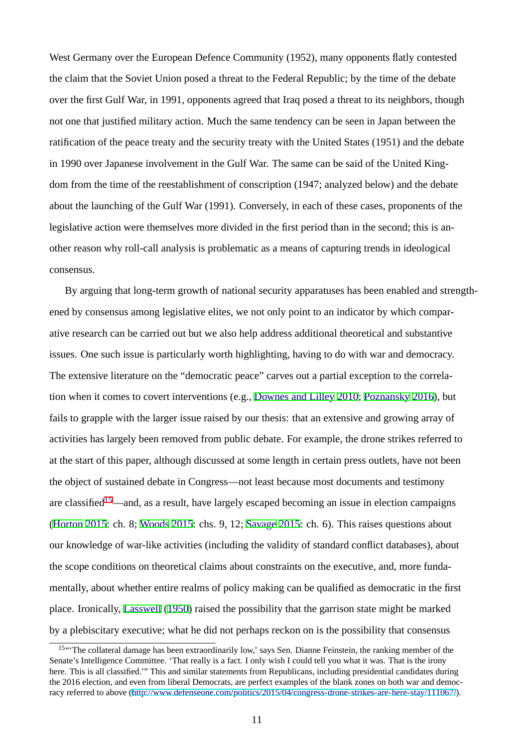West Germany over the European Defence Community (1952), many opponents flatly contested the claim that the Soviet Union posed a threat to the Federal Republic; by the time of the debate over the first Gulf War, in 1991, opponents agreed that Iraq posed a threat to its neighbors, though not one that justified military action. Much the same tendency can be seen in Japan between the ratification of the peace treaty and the security treaty with the United States (1951) and the debate in 1990 over Japanese involvement in the Gulf War. The same can be said of the United Kingdom from the time of the reestablishment of conscription (1947; analyzed below) and the debate about the launching of the Gulf War (1991). Conversely, in each of these cases, proponents of the legislative action were themselves more divided in the first period than in the second; this is another reason why roll-call analysis is problematic as a means of capturing trends in ideological consensus.

By arguing that long-term growth of national security apparatuses has been enabled and strengthened by consensus among legislative elites, we not only point to an indicator by which comparative research can be carried out but we also help address additional theoretical and substantive issues. One such issue is particularly worth highlighting, having to do with war and democracy. The extensive literature on the "democratic peace" carves out a partial exception to the correlation when it comes to covert interventions (e.g., Downes and Lilley 2010; Poznansky 2016), but fails to grapple with the larger issue raised by our thesis: that an extensive and growing array of activities has largely been removed from public [debate. For example, the](#page-26-0) [drone strikes refe](#page-27-0)rred to at the start of this paper, although discussed at some length in certain press outlets, have not been the object of sustained debate in Congress—not least because most documents and testimony are classified<sup>15</sup>—and, as a result, have largely escaped becoming an issue in election campaigns (Horton 2015: ch. 8; Woods 2015: chs. 9, 12; Savage 2015: ch. 6). This raises questions about our knowledge of war-like activities (including the validity of standard conflict databases), about t[he scope con](#page-27-0)ditions [on theoretica](#page-30-0)l claims abo[ut constraints](#page-28-0) on the executive, and, more fundamentally, about whether entire realms of policy making can be qualified as democratic in the first place. Ironically, Lasswell (1950) raised the possibility that the garrison state might be marked by a plebiscitary executive; what he did not perhaps reckon on is the possibility that consensus

<sup>&</sup>lt;sup>15"</sup>The collateral [damage has](#page-27-0) [been e](#page-27-0)xtraordinarily low,' says Sen. Dianne Feinstein, the ranking member of the Senate's Intelligence Committee. 'That really is a fact. I only wish I could tell you what it was. That is the irony here. This is all classified." This and similar statements from Republicans, including presidential candidates during the 2016 election, and even from liberal Democrats, are perfect examples of the blank zones on both war and democracy referred to above (http://www.defenseone.com/politics/2015/04/congress-drone-strikes-are-here-stay/111067/).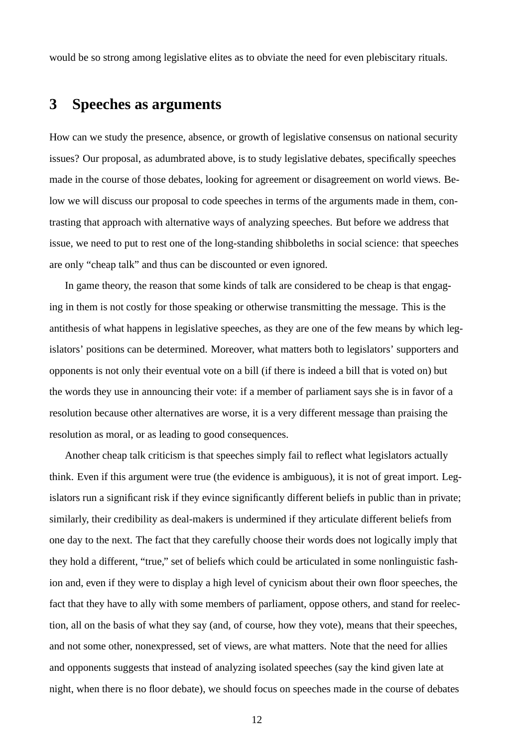would be so strong among legislative elites as to obviate the need for even plebiscitary rituals.

## **3 Speeches as arguments**

How can we study the presence, absence, or growth of legislative consensus on national security issues? Our proposal, as adumbrated above, is to study legislative debates, specifically speeches made in the course of those debates, looking for agreement or disagreement on world views. Below we will discuss our proposal to code speeches in terms of the arguments made in them, contrasting that approach with alternative ways of analyzing speeches. But before we address that issue, we need to put to rest one of the long-standing shibboleths in social science: that speeches are only "cheap talk" and thus can be discounted or even ignored.

In game theory, the reason that some kinds of talk are considered to be cheap is that engaging in them is not costly for those speaking or otherwise transmitting the message. This is the antithesis of what happens in legislative speeches, as they are one of the few means by which legislators' positions can be determined. Moreover, what matters both to legislators' supporters and opponents is not only their eventual vote on a bill (if there is indeed a bill that is voted on) but the words they use in announcing their vote: if a member of parliament says she is in favor of a resolution because other alternatives are worse, it is a very different message than praising the resolution as moral, or as leading to good consequences.

Another cheap talk criticism is that speeches simply fail to reflect what legislators actually think. Even if this argument were true (the evidence is ambiguous), it is not of great import. Legislators run a significant risk if they evince significantly different beliefs in public than in private; similarly, their credibility as deal-makers is undermined if they articulate different beliefs from one day to the next. The fact that they carefully choose their words does not logically imply that they hold a different, "true," set of beliefs which could be articulated in some nonlinguistic fashion and, even if they were to display a high level of cynicism about their own floor speeches, the fact that they have to ally with some members of parliament, oppose others, and stand for reelection, all on the basis of what they say (and, of course, how they vote), means that their speeches, and not some other, nonexpressed, set of views, are what matters. Note that the need for allies and opponents suggests that instead of analyzing isolated speeches (say the kind given late at night, when there is no floor debate), we should focus on speeches made in the course of debates

12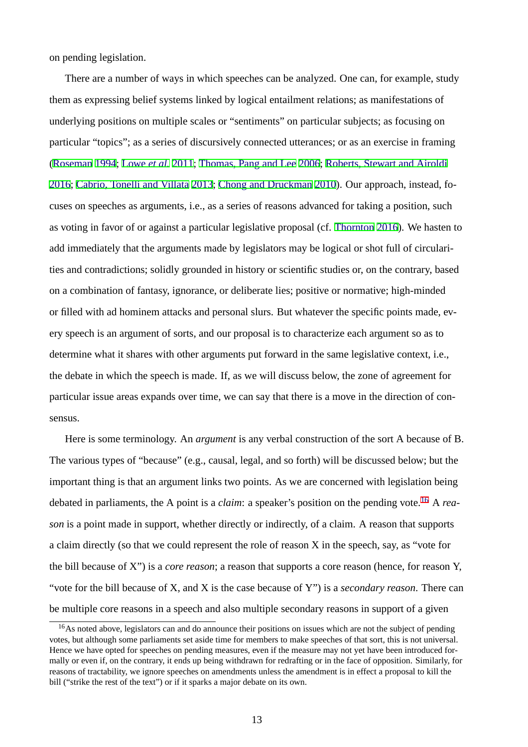on pending legislation.

There are a number of ways in which speeches can be analyzed. One can, for example, study them as expressing belief systems linked by logical entailment relations; as manifestations of underlying positions on multiple scales or "sentiments" on particular subjects; as focusing on particular "topics"; as a series of discursively connected utterances; or as an exercise in framing (Roseman 1994; Lowe *et al.* 2011; Thomas, Pang and Lee 2006; Roberts, Stewart and Airoldi 2016; Cabrio, Tonelli and Villata 2013; Chong and Druckman 2010). Our approach, instead, fo[cuses on speech](#page-28-0)[es as arguments, i.](#page-27-0)[e., as a series of reasons advan](#page-29-0)[ced for taking a position, such](#page-28-0) [as vo](#page-28-0)t[ing in favor of or against a particular legislative proposal \(cf.](#page-26-0) Thornton 2016). We hasten to add immediately that the arguments made by legislators may be logical or shot full of circularities and contradictions; solidly grounded in history or scientific stu[dies or, on the c](#page-29-0)ontrary, based on a combination of fantasy, ignorance, or deliberate lies; positive or normative; high-minded or filled with ad hominem attacks and personal slurs. But whatever the specific points made, every speech is an argument of sorts, and our proposal is to characterize each argument so as to determine what it shares with other arguments put forward in the same legislative context, i.e., the debate in which the speech is made. If, as we will discuss below, the zone of agreement for particular issue areas expands over time, we can say that there is a move in the direction of consensus.

Here is some terminology. An *argument* is any verbal construction of the sort A because of B. The various types of "because" (e.g., causal, legal, and so forth) will be discussed below; but the important thing is that an argument links two points. As we are concerned with legislation being debated in parliaments, the A point is a *claim*: a speaker's position on the pending vote.<sup>16</sup> A *reason* is a point made in support, whether directly or indirectly, of a claim. A reason that supports a claim directly (so that we could represent the role of reason X in the speech, say, as "vote for the bill because of X") is a *core reason*; a reason that supports a core reason (hence, for reason Y, "vote for the bill because of X, and X is the case because of Y") is a *secondary reason*. There can be multiple core reasons in a speech and also multiple secondary reasons in support of a given

<sup>&</sup>lt;sup>16</sup>As noted above, legislators can and do announce their positions on issues which are not the subject of pending votes, but although some parliaments set aside time for members to make speeches of that sort, this is not universal. Hence we have opted for speeches on pending measures, even if the measure may not yet have been introduced formally or even if, on the contrary, it ends up being withdrawn for redrafting or in the face of opposition. Similarly, for reasons of tractability, we ignore speeches on amendments unless the amendment is in effect a proposal to kill the bill ("strike the rest of the text") or if it sparks a major debate on its own.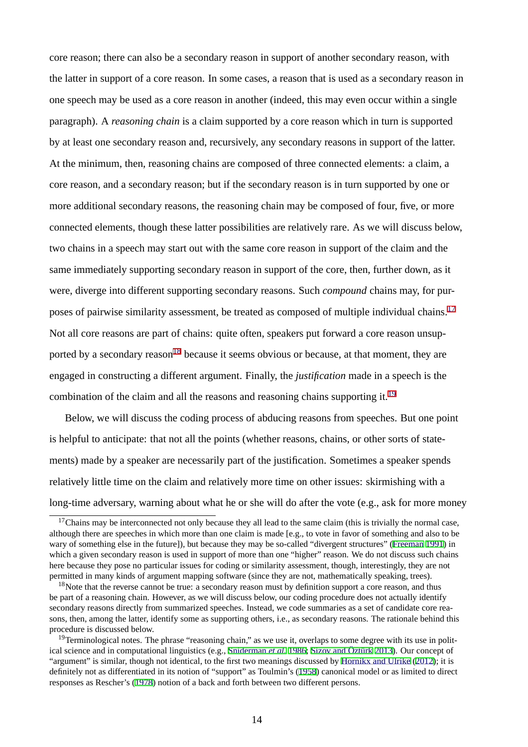core reason; there can also be a secondary reason in support of another secondary reason, with the latter in support of a core reason. In some cases, a reason that is used as a secondary reason in one speech may be used as a core reason in another (indeed, this may even occur within a single paragraph). A *reasoning chain* is a claim supported by a core reason which in turn is supported by at least one secondary reason and, recursively, any secondary reasons in support of the latter. At the minimum, then, reasoning chains are composed of three connected elements: a claim, a core reason, and a secondary reason; but if the secondary reason is in turn supported by one or more additional secondary reasons, the reasoning chain may be composed of four, five, or more connected elements, though these latter possibilities are relatively rare. As we will discuss below, two chains in a speech may start out with the same core reason in support of the claim and the same immediately supporting secondary reason in support of the core, then, further down, as it were, diverge into different supporting secondary reasons. Such *compound* chains may, for purposes of pairwise similarity assessment, be treated as composed of multiple individual chains.<sup>17</sup> Not all core reasons are part of chains: quite often, speakers put forward a core reason unsupported by a secondary reason<sup>18</sup> because it seems obvious or because, at that moment, they are engaged in constructing a different argument. Finally, the *justification* made in a speech is the combination of the claim and all the reasons and reasoning chains supporting it.<sup>19</sup>

Below, we will discuss the coding process of abducing reasons from speeches. But one point is helpful to anticipate: that not all the points (whether reasons, chains, or other sorts of statements) made by a speaker are necessarily part of the justification. Sometimes a speaker spends relatively little time on the claim and relatively more time on other issues: skirmishing with a long-time adversary, warning about what he or she will do after the vote (e.g., ask for more money

 $17$ Chains may be interconnected not only because they all lead to the same claim (this is trivially the normal case, although there are speeches in which more than one claim is made [e.g., to vote in favor of something and also to be wary of something else in the future]), but because they may be so-called "divergent structures" (Freeman 1991) in which a given secondary reason is used in support of more than one "higher" reason. We do not discuss such chains here because they pose no particular issues for coding or similarity assessment, though, interestingly, they are not permitted in many kinds of argument mapping software (since they are not, mathematically speaking, trees).

<sup>&</sup>lt;sup>18</sup>Note that the reverse cannot be true: a secondary reason must by definition support a core re[ason, and thus](#page-26-0) be part of a reasoning chain. However, as we will discuss below, our coding procedure does not actually identify secondary reasons directly from summarized speeches. Instead, we code summaries as a set of candidate core reasons, then, among the latter, identify some as supporting others, i.e., as secondary reasons. The rationale behind this procedure is discussed below.

 $19$ Terminological notes. The phrase "reasoning chain," as we use it, overlaps to some degree with its use in political science and in computational linguistics (e.g., Sniderman *et al.* 1986; Sizov and Öztürk 2013). Our concept of "argument" is similar, though not identical, to the first two meanings discussed by Hornikx and Ulrike (2012); it is definitely not as differentiated in its notion of "support" as Toulmin's (1958) canonical model or as limited to direct responses as Rescher's (1978) notion of a back and forth between two different persons.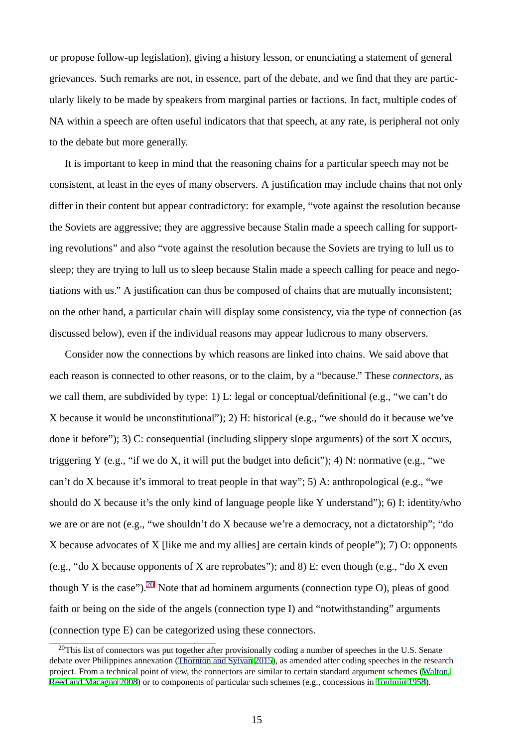or propose follow-up legislation), giving a history lesson, or enunciating a statement of general grievances. Such remarks are not, in essence, part of the debate, and we find that they are particularly likely to be made by speakers from marginal parties or factions. In fact, multiple codes of NA within a speech are often useful indicators that that speech, at any rate, is peripheral not only to the debate but more generally.

It is important to keep in mind that the reasoning chains for a particular speech may not be consistent, at least in the eyes of many observers. A justification may include chains that not only differ in their content but appear contradictory: for example, "vote against the resolution because the Soviets are aggressive; they are aggressive because Stalin made a speech calling for supporting revolutions" and also "vote against the resolution because the Soviets are trying to lull us to sleep; they are trying to lull us to sleep because Stalin made a speech calling for peace and negotiations with us." A justification can thus be composed of chains that are mutually inconsistent; on the other hand, a particular chain will display some consistency, via the type of connection (as discussed below), even if the individual reasons may appear ludicrous to many observers.

Consider now the connections by which reasons are linked into chains. We said above that each reason is connected to other reasons, or to the claim, by a "because." These *connectors*, as we call them, are subdivided by type: 1) L: legal or conceptual/definitional (e.g., "we can't do X because it would be unconstitutional"); 2) H: historical (e.g., "we should do it because we've done it before"); 3) C: consequential (including slippery slope arguments) of the sort X occurs, triggering Y (e.g., "if we do X, it will put the budget into deficit"); 4) N: normative (e.g., "we can't do X because it's immoral to treat people in that way"; 5) A: anthropological (e.g., "we should do X because it's the only kind of language people like Y understand"); 6) I: identity/who we are or are not (e.g., "we shouldn't do X because we're a democracy, not a dictatorship"; "do X because advocates of X [like me and my allies] are certain kinds of people"); 7) O: opponents (e.g., "do X because opponents of X are reprobates"); and 8) E: even though (e.g., "do X even though Y is the case").<sup>20</sup> Note that ad hominem arguments (connection type O), pleas of good faith or being on the side of the angels (connection type I) and "notwithstanding" arguments (connection type E) can be categorized using these connectors.

 $^{20}$ This list of connectors was put together after provisionally coding a number of speeches in the U.S. Senate debate over Philippines annexation (Thornton and Sylvan 2015), as amended after coding speeches in the research project. From a technical point of view, the connectors are similar to certain standard argument schemes (Walton, Reed and Macagno 2008) or to components of particular such schemes (e.g., concessions in Toulmin 1958).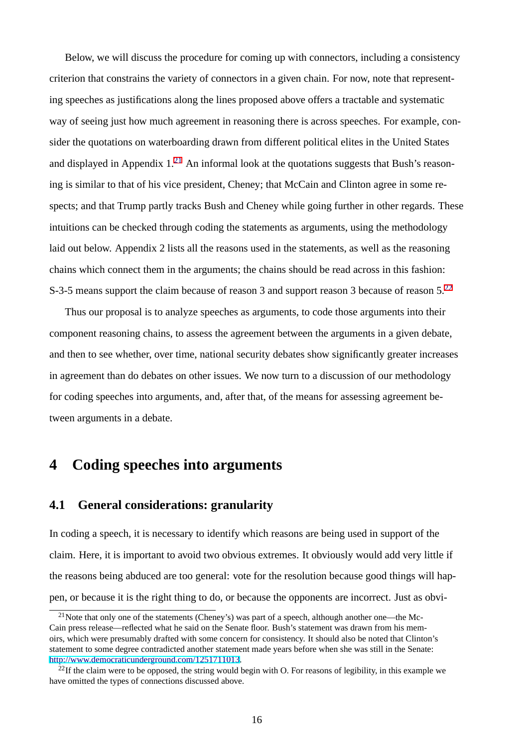Below, we will discuss the procedure for coming up with connectors, including a consistency criterion that constrains the variety of connectors in a given chain. For now, note that representing speeches as justifications along the lines proposed above offers a tractable and systematic way of seeing just how much agreement in reasoning there is across speeches. For example, consider the quotations on waterboarding drawn from different political elites in the United States and displayed in Appendix  $1<sup>21</sup>$  An informal look at the quotations suggests that Bush's reasoning is similar to that of his vice president, Cheney; that McCain and Clinton agree in some respects; and that Trump partly tracks Bush and Cheney while going further in other regards. These intuitions can be checked through coding the statements as arguments, using the methodology laid out below. Appendix 2 lists all the reasons used in the statements, as well as the reasoning chains which connect them in the arguments; the chains should be read across in this fashion: S-3-5 means support the claim because of reason 3 and support reason 3 because of reason  $5.^{22}$ 

Thus our proposal is to analyze speeches as arguments, to code those arguments into their component reasoning chains, to assess the agreement between the arguments in a given debate, and then to see whether, over time, national security debates show significantly greater increases in agreement than do debates on other issues. We now turn to a discussion of our methodology for coding speeches into arguments, and, after that, of the means for assessing agreement between arguments in a debate.

## **4 Coding speeches into arguments**

#### **4.1 General considerations: granularity**

In coding a speech, it is necessary to identify which reasons are being used in support of the claim. Here, it is important to avoid two obvious extremes. It obviously would add very little if the reasons being abduced are too general: vote for the resolution because good things will happen, or because it is the right thing to do, or because the opponents are incorrect. Just as obvi-

<sup>&</sup>lt;sup>21</sup>Note that only one of the statements (Cheney's) was part of a speech, although another one—the Mc-Cain press release—reflected what he said on the Senate floor. Bush's statement was drawn from his memoirs, which were presumably drafted with some concern for consistency. It should also be noted that Clinton's statement to some degree contradicted another statement made years before when she was still in the Senate: http://www.democraticunderground.com/1251711013.

 $^{22}$ If the claim were to be opposed, the string would begin with O. For reasons of legibility, in this example we have omitted the types of connections discussed above.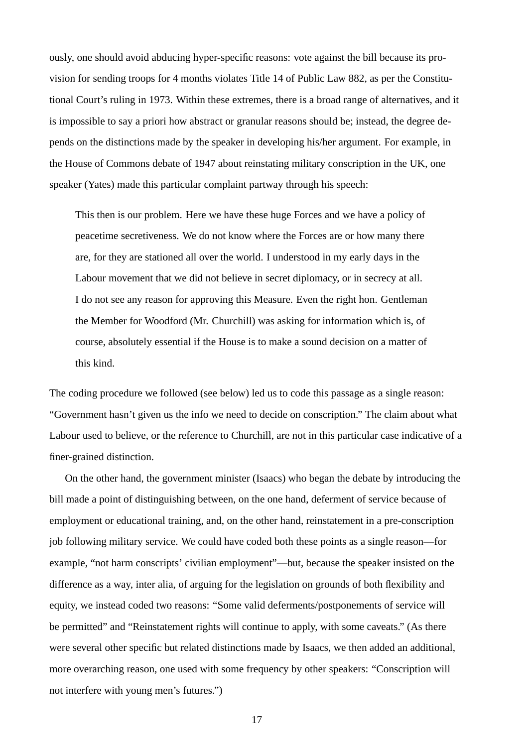ously, one should avoid abducing hyper-specific reasons: vote against the bill because its provision for sending troops for 4 months violates Title 14 of Public Law 882, as per the Constitutional Court's ruling in 1973. Within these extremes, there is a broad range of alternatives, and it is impossible to say a priori how abstract or granular reasons should be; instead, the degree depends on the distinctions made by the speaker in developing his/her argument. For example, in the House of Commons debate of 1947 about reinstating military conscription in the UK, one speaker (Yates) made this particular complaint partway through his speech:

This then is our problem. Here we have these huge Forces and we have a policy of peacetime secretiveness. We do not know where the Forces are or how many there are, for they are stationed all over the world. I understood in my early days in the Labour movement that we did not believe in secret diplomacy, or in secrecy at all. I do not see any reason for approving this Measure. Even the right hon. Gentleman the Member for Woodford (Mr. Churchill) was asking for information which is, of course, absolutely essential if the House is to make a sound decision on a matter of this kind.

The coding procedure we followed (see below) led us to code this passage as a single reason: "Government hasn't given us the info we need to decide on conscription." The claim about what Labour used to believe, or the reference to Churchill, are not in this particular case indicative of a finer-grained distinction.

On the other hand, the government minister (Isaacs) who began the debate by introducing the bill made a point of distinguishing between, on the one hand, deferment of service because of employment or educational training, and, on the other hand, reinstatement in a pre-conscription job following military service. We could have coded both these points as a single reason—for example, "not harm conscripts' civilian employment"—but, because the speaker insisted on the difference as a way, inter alia, of arguing for the legislation on grounds of both flexibility and equity, we instead coded two reasons: "Some valid deferments/postponements of service will be permitted" and "Reinstatement rights will continue to apply, with some caveats." (As there were several other specific but related distinctions made by Isaacs, we then added an additional, more overarching reason, one used with some frequency by other speakers: "Conscription will not interfere with young men's futures.")

17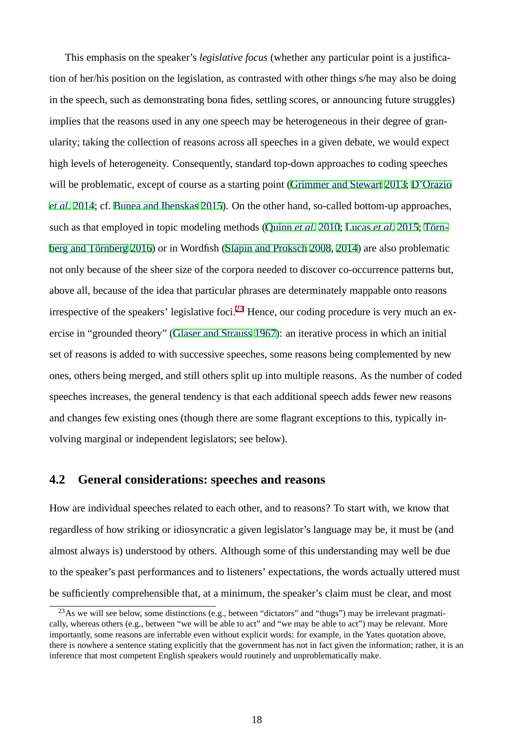This emphasis on the speaker's *legislative focus* (whether any particular point is a justification of her/his position on the legislation, as contrasted with other things s/he may also be doing in the speech, such as demonstrating bona fides, settling scores, or announcing future struggles) implies that the reasons used in any one speech may be heterogeneous in their degree of granularity; taking the collection of reasons across all speeches in a given debate, we would expect high levels of heterogeneity. Consequently, standard top-down approaches to coding speeches will be problematic, except of course as a starting point (Grimmer and Stewart 2013; D'Orazio *et al.* 2014; cf. Bunea and Ibenskas 2015). On the other hand, so-called bottom-up approaches, such as that employed in topic modeling methods (Quinn *et al.* 2010; [Lucas](#page-27-0) *et [al.](#page-27-0)* 2015; [Törn](#page-26-0)[berg](#page-26-0) [and T](#page-26-0)örn[berg 2016\) or in Wordfish \(](#page-26-0)Slapin and Proksch 2008, 2014) are also problematic not only because of the sheer size of the corpora n[eeded to discover c](#page-28-0)[o-occurrence patte](#page-27-0)[rns but](#page-29-0), [above all, because](#page-29-0) [of the](#page-29-0) idea that particu[lar phrases are determina](#page-28-0)t[ely m](#page-28-0)appable onto reasons irrespective of the speakers' legislative foci.<sup>23</sup> Hence, our coding procedure is very much an exercise in "grounded theory" (Glaser and Strauss 1967): an iterative process in which an initial set of reasons is added to with successive speeches, some reasons being complemented by new ones, others being merged, a[nd still others split up int](#page-26-0)o multiple reasons. As the number of coded speeches increases, the general tendency is that each additional speech adds fewer new reasons and changes few existing ones (though there are some flagrant exceptions to this, typically involving marginal or independent legislators; see below).

#### **4.2 General considerations: speeches and reasons**

How are individual speeches related to each other, and to reasons? To start with, we know that regardless of how striking or idiosyncratic a given legislator's language may be, it must be (and almost always is) understood by others. Although some of this understanding may well be due to the speaker's past performances and to listeners' expectations, the words actually uttered must be sufficiently comprehensible that, at a minimum, the speaker's claim must be clear, and most

<sup>&</sup>lt;sup>23</sup>As we will see below, some distinctions (e.g., between "dictators" and "thugs") may be irrelevant pragmatically, whereas others (e.g., between "we will be able to act" and "we may be able to act") may be relevant. More importantly, some reasons are inferrable even without explicit words: for example, in the Yates quotation above, there is nowhere a sentence stating explicitly that the government has not in fact given the information; rather, it is an inference that most competent English speakers would routinely and unproblematically make.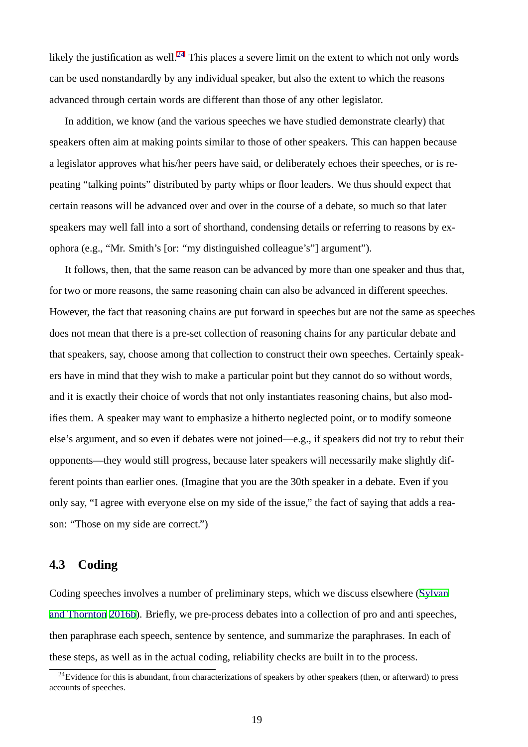likely the justification as well.<sup>24</sup> This places a severe limit on the extent to which not only words can be used nonstandardly by any individual speaker, but also the extent to which the reasons advanced through certain words are different than those of any other legislator.

In addition, we know (and the various speeches we have studied demonstrate clearly) that speakers often aim at making points similar to those of other speakers. This can happen because a legislator approves what his/her peers have said, or deliberately echoes their speeches, or is repeating "talking points" distributed by party whips or floor leaders. We thus should expect that certain reasons will be advanced over and over in the course of a debate, so much so that later speakers may well fall into a sort of shorthand, condensing details or referring to reasons by exophora (e.g., "Mr. Smith's [or: "my distinguished colleague's"] argument").

It follows, then, that the same reason can be advanced by more than one speaker and thus that, for two or more reasons, the same reasoning chain can also be advanced in different speeches. However, the fact that reasoning chains are put forward in speeches but are not the same as speeches does not mean that there is a pre-set collection of reasoning chains for any particular debate and that speakers, say, choose among that collection to construct their own speeches. Certainly speakers have in mind that they wish to make a particular point but they cannot do so without words, and it is exactly their choice of words that not only instantiates reasoning chains, but also modifies them. A speaker may want to emphasize a hitherto neglected point, or to modify someone else's argument, and so even if debates were not joined—e.g., if speakers did not try to rebut their opponents—they would still progress, because later speakers will necessarily make slightly different points than earlier ones. (Imagine that you are the 30th speaker in a debate. Even if you only say, "I agree with everyone else on my side of the issue," the fact of saying that adds a reason: "Those on my side are correct.")

#### **4.3 Coding**

Coding speeches involves a number of preliminary steps, which we discuss elsewhere (Sylvan and Thornton 2016b). Briefly, we pre-process debates into a collection of pro and anti speeches, then paraphrase each speech, sentence by sentence, and summarize the paraphrases. In [each of](#page-29-0) [these steps, as well a](#page-29-0)s in the actual coding, reliability checks are built in to the process.

<sup>&</sup>lt;sup>24</sup>Evidence for this is abundant, from characterizations of speakers by other speakers (then, or afterward) to press accounts of speeches.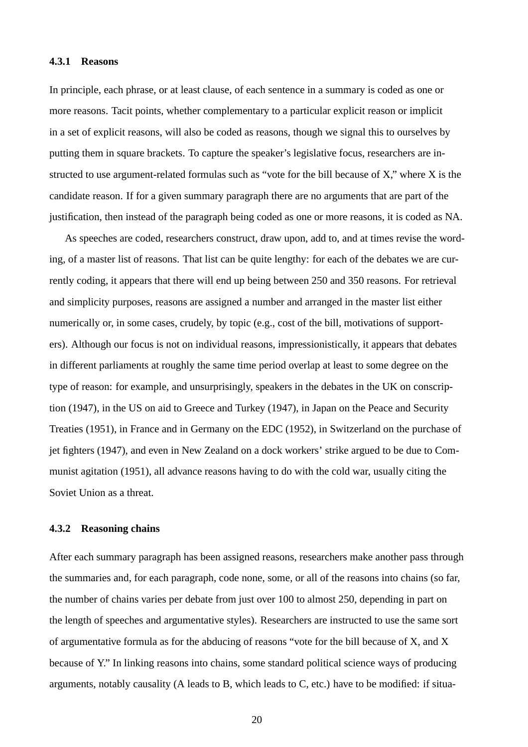#### **4.3.1 Reasons**

In principle, each phrase, or at least clause, of each sentence in a summary is coded as one or more reasons. Tacit points, whether complementary to a particular explicit reason or implicit in a set of explicit reasons, will also be coded as reasons, though we signal this to ourselves by putting them in square brackets. To capture the speaker's legislative focus, researchers are instructed to use argument-related formulas such as "vote for the bill because of X," where X is the candidate reason. If for a given summary paragraph there are no arguments that are part of the justification, then instead of the paragraph being coded as one or more reasons, it is coded as NA.

As speeches are coded, researchers construct, draw upon, add to, and at times revise the wording, of a master list of reasons. That list can be quite lengthy: for each of the debates we are currently coding, it appears that there will end up being between 250 and 350 reasons. For retrieval and simplicity purposes, reasons are assigned a number and arranged in the master list either numerically or, in some cases, crudely, by topic (e.g., cost of the bill, motivations of supporters). Although our focus is not on individual reasons, impressionistically, it appears that debates in different parliaments at roughly the same time period overlap at least to some degree on the type of reason: for example, and unsurprisingly, speakers in the debates in the UK on conscription (1947), in the US on aid to Greece and Turkey (1947), in Japan on the Peace and Security Treaties (1951), in France and in Germany on the EDC (1952), in Switzerland on the purchase of jet fighters (1947), and even in New Zealand on a dock workers' strike argued to be due to Communist agitation (1951), all advance reasons having to do with the cold war, usually citing the Soviet Union as a threat.

#### **4.3.2 Reasoning chains**

After each summary paragraph has been assigned reasons, researchers make another pass through the summaries and, for each paragraph, code none, some, or all of the reasons into chains (so far, the number of chains varies per debate from just over 100 to almost 250, depending in part on the length of speeches and argumentative styles). Researchers are instructed to use the same sort of argumentative formula as for the abducing of reasons "vote for the bill because of X, and X because of Y." In linking reasons into chains, some standard political science ways of producing arguments, notably causality (A leads to B, which leads to C, etc.) have to be modified: if situa-

20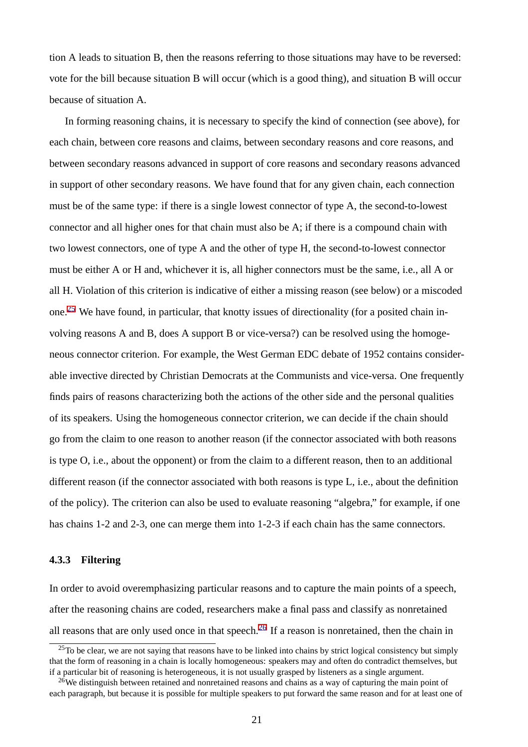tion A leads to situation B, then the reasons referring to those situations may have to be reversed: vote for the bill because situation B will occur (which is a good thing), and situation B will occur because of situation A.

In forming reasoning chains, it is necessary to specify the kind of connection (see above), for each chain, between core reasons and claims, between secondary reasons and core reasons, and between secondary reasons advanced in support of core reasons and secondary reasons advanced in support of other secondary reasons. We have found that for any given chain, each connection must be of the same type: if there is a single lowest connector of type A, the second-to-lowest connector and all higher ones for that chain must also be A; if there is a compound chain with two lowest connectors, one of type A and the other of type H, the second-to-lowest connector must be either A or H and, whichever it is, all higher connectors must be the same, i.e., all A or all H. Violation of this criterion is indicative of either a missing reason (see below) or a miscoded one.25 We have found, in particular, that knotty issues of directionality (for a posited chain involving reasons A and B, does A support B or vice-versa?) can be resolved using the homogeneous connector criterion. For example, the West German EDC debate of 1952 contains considerable invective directed by Christian Democrats at the Communists and vice-versa. One frequently finds pairs of reasons characterizing both the actions of the other side and the personal qualities of its speakers. Using the homogeneous connector criterion, we can decide if the chain should go from the claim to one reason to another reason (if the connector associated with both reasons is type O, i.e., about the opponent) or from the claim to a different reason, then to an additional different reason (if the connector associated with both reasons is type L, i.e., about the definition of the policy). The criterion can also be used to evaluate reasoning "algebra," for example, if one has chains 1-2 and 2-3, one can merge them into 1-2-3 if each chain has the same connectors.

#### **4.3.3 Filtering**

In order to avoid overemphasizing particular reasons and to capture the main points of a speech, after the reasoning chains are coded, researchers make a final pass and classify as nonretained all reasons that are only used once in that speech.<sup>26</sup> If a reason is nonretained, then the chain in

<sup>&</sup>lt;sup>25</sup>To be clear, we are not saying that reasons have to be linked into chains by strict logical consistency but simply that the form of reasoning in a chain is locally homogeneous: speakers may and often do contradict themselves, but if a particular bit of reasoning is heterogeneous, it is not usually grasped by listeners as a single argument.

<sup>&</sup>lt;sup>26</sup>We distinguish between retained and nonretained reasons and chains as a way of capturing the main point of each paragraph, but because it is possible for multiple speakers to put forward the same reason and for at least one of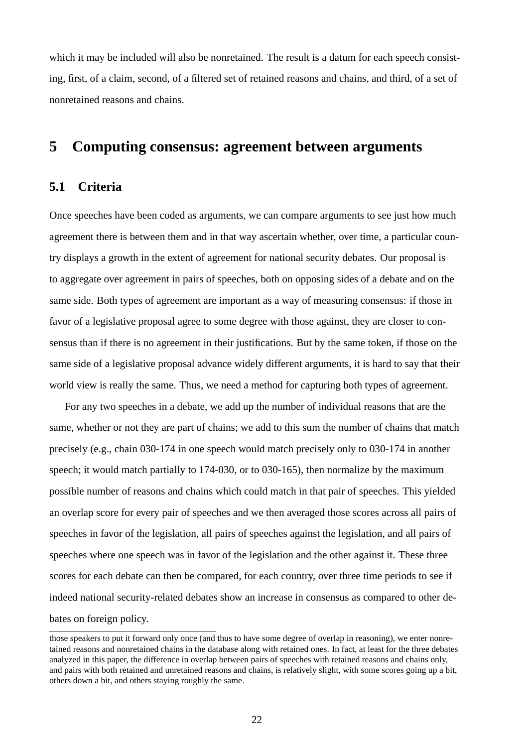which it may be included will also be nonretained. The result is a datum for each speech consisting, first, of a claim, second, of a filtered set of retained reasons and chains, and third, of a set of nonretained reasons and chains.

## **5 Computing consensus: agreement between arguments**

#### **5.1 Criteria**

Once speeches have been coded as arguments, we can compare arguments to see just how much agreement there is between them and in that way ascertain whether, over time, a particular country displays a growth in the extent of agreement for national security debates. Our proposal is to aggregate over agreement in pairs of speeches, both on opposing sides of a debate and on the same side. Both types of agreement are important as a way of measuring consensus: if those in favor of a legislative proposal agree to some degree with those against, they are closer to consensus than if there is no agreement in their justifications. But by the same token, if those on the same side of a legislative proposal advance widely different arguments, it is hard to say that their world view is really the same. Thus, we need a method for capturing both types of agreement.

For any two speeches in a debate, we add up the number of individual reasons that are the same, whether or not they are part of chains; we add to this sum the number of chains that match precisely (e.g., chain 030-174 in one speech would match precisely only to 030-174 in another speech; it would match partially to 174-030, or to 030-165), then normalize by the maximum possible number of reasons and chains which could match in that pair of speeches. This yielded an overlap score for every pair of speeches and we then averaged those scores across all pairs of speeches in favor of the legislation, all pairs of speeches against the legislation, and all pairs of speeches where one speech was in favor of the legislation and the other against it. These three scores for each debate can then be compared, for each country, over three time periods to see if indeed national security-related debates show an increase in consensus as compared to other debates on foreign policy.

those speakers to put it forward only once (and thus to have some degree of overlap in reasoning), we enter nonretained reasons and nonretained chains in the database along with retained ones. In fact, at least for the three debates analyzed in this paper, the difference in overlap between pairs of speeches with retained reasons and chains only, and pairs with both retained and unretained reasons and chains, is relatively slight, with some scores going up a bit, others down a bit, and others staying roughly the same.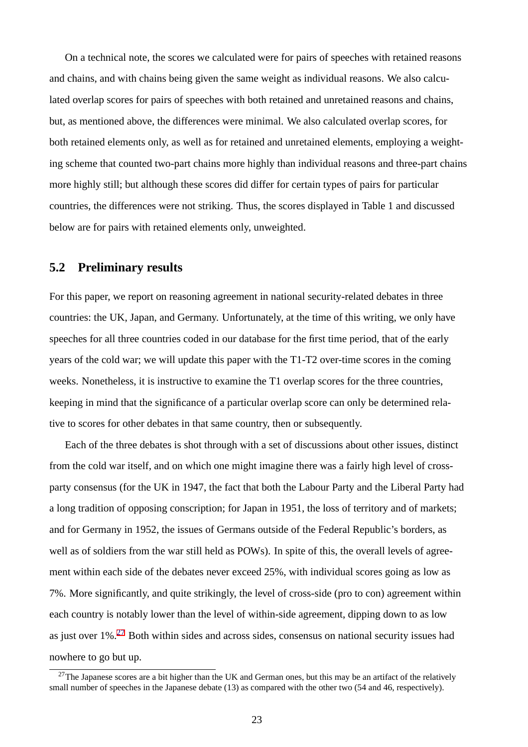On a technical note, the scores we calculated were for pairs of speeches with retained reasons and chains, and with chains being given the same weight as individual reasons. We also calculated overlap scores for pairs of speeches with both retained and unretained reasons and chains, but, as mentioned above, the differences were minimal. We also calculated overlap scores, for both retained elements only, as well as for retained and unretained elements, employing a weighting scheme that counted two-part chains more highly than individual reasons and three-part chains more highly still; but although these scores did differ for certain types of pairs for particular countries, the differences were not striking. Thus, the scores displayed in Table 1 and discussed below are for pairs with retained elements only, unweighted.

#### **5.2 Preliminary results**

For this paper, we report on reasoning agreement in national security-related debates in three countries: the UK, Japan, and Germany. Unfortunately, at the time of this writing, we only have speeches for all three countries coded in our database for the first time period, that of the early years of the cold war; we will update this paper with the T1-T2 over-time scores in the coming weeks. Nonetheless, it is instructive to examine the T1 overlap scores for the three countries, keeping in mind that the significance of a particular overlap score can only be determined relative to scores for other debates in that same country, then or subsequently.

Each of the three debates is shot through with a set of discussions about other issues, distinct from the cold war itself, and on which one might imagine there was a fairly high level of crossparty consensus (for the UK in 1947, the fact that both the Labour Party and the Liberal Party had a long tradition of opposing conscription; for Japan in 1951, the loss of territory and of markets; and for Germany in 1952, the issues of Germans outside of the Federal Republic's borders, as well as of soldiers from the war still held as POWs). In spite of this, the overall levels of agreement within each side of the debates never exceed 25%, with individual scores going as low as 7%. More significantly, and quite strikingly, the level of cross-side (pro to con) agreement within each country is notably lower than the level of within-side agreement, dipping down to as low as just over  $1\%$ .<sup>27</sup> Both within sides and across sides, consensus on national security issues had nowhere to go but up.

 $27$ The Japanese scores are a bit higher than the UK and German ones, but this may be an artifact of the relatively small number of speeches in the Japanese debate (13) as compared with the other two (54 and 46, respectively).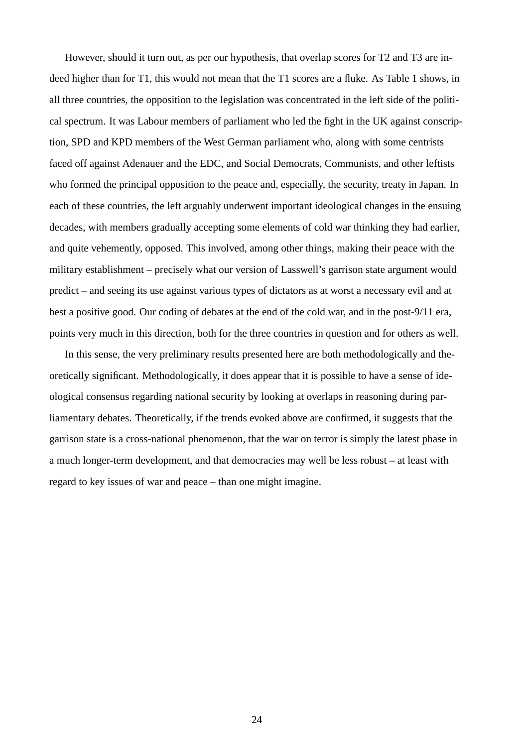However, should it turn out, as per our hypothesis, that overlap scores for T2 and T3 are indeed higher than for T1, this would not mean that the T1 scores are a fluke. As Table 1 shows, in all three countries, the opposition to the legislation was concentrated in the left side of the political spectrum. It was Labour members of parliament who led the fight in the UK against conscription, SPD and KPD members of the West German parliament who, along with some centrists faced off against Adenauer and the EDC, and Social Democrats, Communists, and other leftists who formed the principal opposition to the peace and, especially, the security, treaty in Japan. In each of these countries, the left arguably underwent important ideological changes in the ensuing decades, with members gradually accepting some elements of cold war thinking they had earlier, and quite vehemently, opposed. This involved, among other things, making their peace with the military establishment – precisely what our version of Lasswell's garrison state argument would predict – and seeing its use against various types of dictators as at worst a necessary evil and at best a positive good. Our coding of debates at the end of the cold war, and in the post-9/11 era, points very much in this direction, both for the three countries in question and for others as well.

In this sense, the very preliminary results presented here are both methodologically and theoretically significant. Methodologically, it does appear that it is possible to have a sense of ideological consensus regarding national security by looking at overlaps in reasoning during parliamentary debates. Theoretically, if the trends evoked above are confirmed, it suggests that the garrison state is a cross-national phenomenon, that the war on terror is simply the latest phase in a much longer-term development, and that democracies may well be less robust – at least with regard to key issues of war and peace – than one might imagine.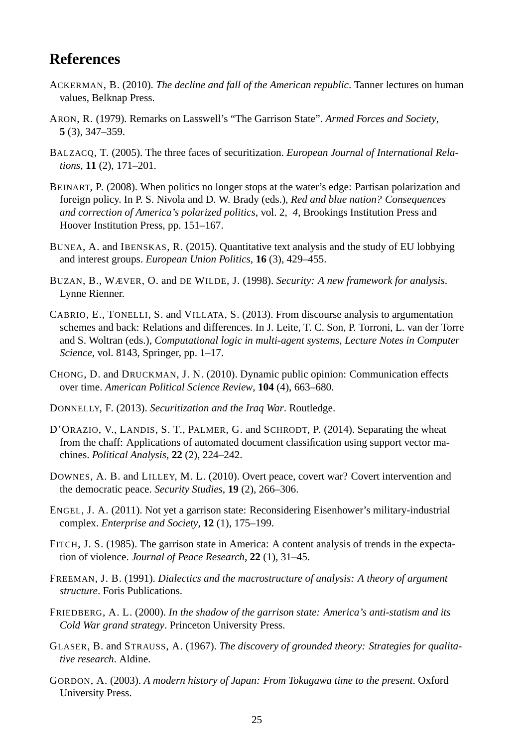## <span id="page-26-0"></span>**References**

- ACKERMAN, B. (2010). *The decline and fall of the American republic*. Tanner lectures on human values, Belknap Press.
- ARON, R. (1979). Remarks on Lasswell's "The Garrison State". *Armed Forces and Society*, **5** (3), 347–359.
- BALZACQ, T. (2005). The three faces of securitization. *European Journal of International Relations*, **11** (2), 171–201.
- BEINART, P. (2008). When politics no longer stops at the water's edge: Partisan polarization and foreign policy. In P. S. Nivola and D. W. Brady (eds.), *Red and blue nation? Consequences and correction of America's polarized politics*, vol. 2, *4*, Brookings Institution Press and Hoover Institution Press, pp. 151–167.
- BUNEA, A. and IBENSKAS, R. (2015). Quantitative text analysis and the study of EU lobbying and interest groups. *European Union Politics*, **16** (3), 429–455.
- BUZAN, B., WÆVER, O. and DE WILDE, J. (1998). *Security: A new framework for analysis*. Lynne Rienner.
- CABRIO, E., TONELLI, S. and VILLATA, S. (2013). From discourse analysis to argumentation schemes and back: Relations and differences. In J. Leite, T. C. Son, P. Torroni, L. van der Torre and S. Woltran (eds.), *Computational logic in multi-agent systems*, *Lecture Notes in Computer Science*, vol. 8143, Springer, pp. 1–17.
- CHONG, D. and DRUCKMAN, J. N. (2010). Dynamic public opinion: Communication effects over time. *American Political Science Review*, **104** (4), 663–680.
- DONNELLY, F. (2013). *Securitization and the Iraq War*. Routledge.
- D'ORAZIO, V., LANDIS, S. T., PALMER, G. and SCHRODT, P. (2014). Separating the wheat from the chaff: Applications of automated document classification using support vector machines. *Political Analysis*, **22** (2), 224–242.
- DOWNES, A. B. and LILLEY, M. L. (2010). Overt peace, covert war? Covert intervention and the democratic peace. *Security Studies*, **19** (2), 266–306.
- ENGEL, J. A. (2011). Not yet a garrison state: Reconsidering Eisenhower's military-industrial complex. *Enterprise and Society*, **12** (1), 175–199.
- FITCH, J. S. (1985). The garrison state in America: A content analysis of trends in the expectation of violence. *Journal of Peace Research*, **22** (1), 31–45.
- FREEMAN, J. B. (1991). *Dialectics and the macrostructure of analysis: A theory of argument structure*. Foris Publications.
- FRIEDBERG, A. L. (2000). *In the shadow of the garrison state: America's anti-statism and its Cold War grand strategy*. Princeton University Press.
- GLASER, B. and STRAUSS, A. (1967). *The discovery of grounded theory: Strategies for qualitative research*. Aldine.
- GORDON, A. (2003). *A modern history of Japan: From Tokugawa time to the present*. Oxford University Press.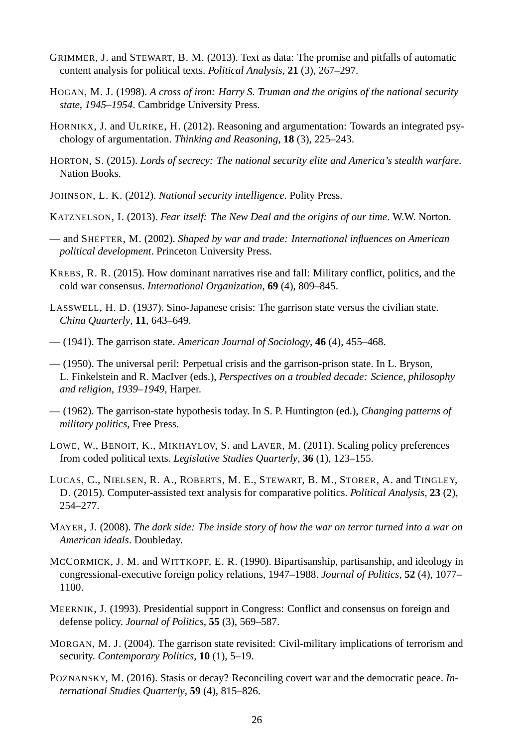- <span id="page-27-0"></span>GRIMMER, J. and STEWART, B. M. (2013). Text as data: The promise and pitfalls of automatic content analysis for political texts. *Political Analysis*, **21** (3), 267–297.
- HOGAN, M. J. (1998). *A cross of iron: Harry S. Truman and the origins of the national security state, 1945–1954*. Cambridge University Press.
- HORNIKX, J. and ULRIKE, H. (2012). Reasoning and argumentation: Towards an integrated psychology of argumentation. *Thinking and Reasoning*, **18** (3), 225–243.
- HORTON, S. (2015). *Lords of secrecy: The national security elite and America's stealth warfare*. Nation Books.
- JOHNSON, L. K. (2012). *National security intelligence*. Polity Press.
- KATZNELSON, I. (2013). *Fear itself: The New Deal and the origins of our time*. W.W. Norton.
- and SHEFTER, M. (2002). *Shaped by war and trade: International influences on American political development*. Princeton University Press.
- KREBS, R. R. (2015). How dominant narratives rise and fall: Military conflict, politics, and the cold war consensus. *International Organization*, **69** (4), 809–845.
- LASSWELL, H. D. (1937). Sino-Japanese crisis: The garrison state versus the civilian state. *China Quarterly*, **11**, 643–649.
- (1941). The garrison state. *American Journal of Sociology*, **46** (4), 455–468.
- (1950). The universal peril: Perpetual crisis and the garrison-prison state. In L. Bryson, L. Finkelstein and R. MacIver (eds.), *Perspectives on a troubled decade: Science, philosophy and religion, 1939–1949*, Harper.
- (1962). The garrison-state hypothesis today. In S. P. Huntington (ed.), *Changing patterns of military politics*, Free Press.
- LOWE, W., BENOIT, K., MIKHAYLOV, S. and LAVER, M. (2011). Scaling policy preferences from coded political texts. *Legislative Studies Quarterly*, **36** (1), 123–155.
- LUCAS, C., NIELSEN, R. A., ROBERTS, M. E., STEWART, B. M., STORER, A. and TINGLEY, D. (2015). Computer-assisted text analysis for comparative politics. *Political Analysis*, **23** (2), 254–277.
- MAYER, J. (2008). *The dark side: The inside story of how the war on terror turned into a war on American ideals*. Doubleday.
- MCCORMICK, J. M. and WITTKOPF, E. R. (1990). Bipartisanship, partisanship, and ideology in congressional-executive foreign policy relations, 1947–1988. *Journal of Politics*, **52** (4), 1077– 1100.
- MEERNIK, J. (1993). Presidential support in Congress: Conflict and consensus on foreign and defense policy. *Journal of Politics*, **55** (3), 569–587.
- MORGAN, M. J. (2004). The garrison state revisited: Civil-military implications of terrorism and security. *Contemporary Politics*, **10** (1), 5–19.
- POZNANSKY, M. (2016). Stasis or decay? Reconciling covert war and the democratic peace. *International Studies Quarterly*, **59** (4), 815–826.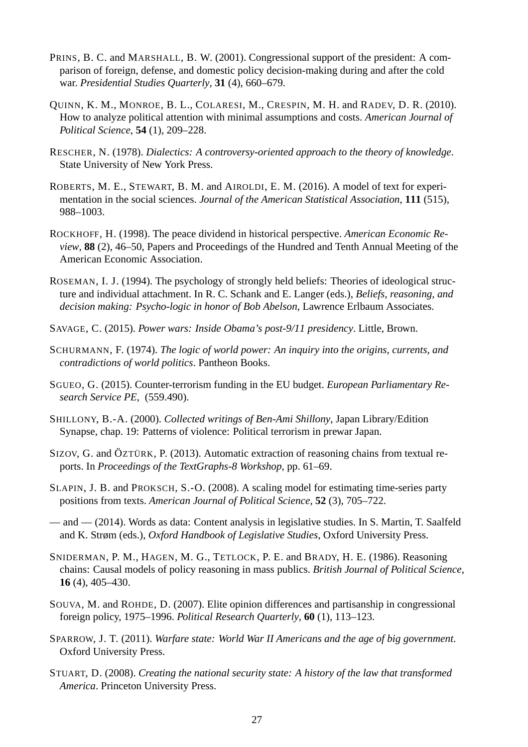- <span id="page-28-0"></span>PRINS, B. C. and MARSHALL, B. W. (2001). Congressional support of the president: A comparison of foreign, defense, and domestic policy decision-making during and after the cold war. *Presidential Studies Quarterly*, **31** (4), 660–679.
- QUINN, K. M., MONROE, B. L., COLARESI, M., CRESPIN, M. H. and RADEV, D. R. (2010). How to analyze political attention with minimal assumptions and costs. *American Journal of Political Science*, **54** (1), 209–228.
- RESCHER, N. (1978). *Dialectics: A controversy-oriented approach to the theory of knowledge*. State University of New York Press.
- ROBERTS, M. E., STEWART, B. M. and AIROLDI, E. M. (2016). A model of text for experimentation in the social sciences. *Journal of the American Statistical Association*, **111** (515), 988–1003.
- ROCKHOFF, H. (1998). The peace dividend in historical perspective. *American Economic Review*, **88** (2), 46–50, Papers and Proceedings of the Hundred and Tenth Annual Meeting of the American Economic Association.
- ROSEMAN, I. J. (1994). The psychology of strongly held beliefs: Theories of ideological structure and individual attachment. In R. C. Schank and E. Langer (eds.), *Beliefs, reasoning, and decision making: Psycho-logic in honor of Bob Abelson*, Lawrence Erlbaum Associates.
- SAVAGE, C. (2015). *Power wars: Inside Obama's post-9/11 presidency*. Little, Brown.
- SCHURMANN, F. (1974). *The logic of world power: An inquiry into the origins, currents, and contradictions of world politics*. Pantheon Books.
- SGUEO, G. (2015). Counter-terrorism funding in the EU budget. *European Parliamentary Research Service PE*, (559.490).
- SHILLONY, B.-A. (2000). *Collected writings of Ben-Ami Shillony*, Japan Library/Edition Synapse, chap. 19: Patterns of violence: Political terrorism in prewar Japan.
- SIZOV, G. and ÖZTÜRK, P. (2013). Automatic extraction of reasoning chains from textual reports. In *Proceedings of the TextGraphs-8 Workshop*, pp. 61–69.
- SLAPIN, J. B. and PROKSCH, S.-O. (2008). A scaling model for estimating time-series party positions from texts. *American Journal of Political Science*, **52** (3), 705–722.
- and (2014). Words as data: Content analysis in legislative studies. In S. Martin, T. Saalfeld and K. Strøm (eds.), *Oxford Handbook of Legislative Studies*, Oxford University Press.
- SNIDERMAN, P. M., HAGEN, M. G., TETLOCK, P. E. and BRADY, H. E. (1986). Reasoning chains: Causal models of policy reasoning in mass publics. *British Journal of Political Science*, **16** (4), 405–430.
- SOUVA, M. and ROHDE, D. (2007). Elite opinion differences and partisanship in congressional foreign policy, 1975–1996. *Political Research Quarterly*, **60** (1), 113–123.
- SPARROW, J. T. (2011). *Warfare state: World War II Americans and the age of big government*. Oxford University Press.
- STUART, D. (2008). *Creating the national security state: A history of the law that transformed America*. Princeton University Press.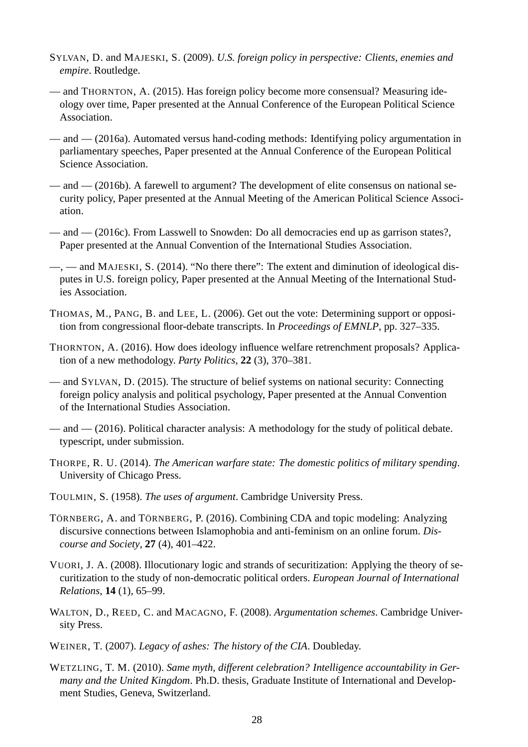- <span id="page-29-0"></span>SYLVAN, D. and MAJESKI, S. (2009). *U.S. foreign policy in perspective: Clients, enemies and empire*. Routledge.
- and THORNTON, A. (2015). Has foreign policy become more consensual? Measuring ideology over time, Paper presented at the Annual Conference of the European Political Science Association.
- and (2016a). Automated versus hand-coding methods: Identifying policy argumentation in parliamentary speeches, Paper presented at the Annual Conference of the European Political Science Association.
- and (2016b). A farewell to argument? The development of elite consensus on national security policy, Paper presented at the Annual Meeting of the American Political Science Association.
- and (2016c). From Lasswell to Snowden: Do all democracies end up as garrison states?, Paper presented at the Annual Convention of the International Studies Association.
- —, and MAJESKI, S. (2014). "No there there": The extent and diminution of ideological disputes in U.S. foreign policy, Paper presented at the Annual Meeting of the International Studies Association.
- THOMAS, M., PANG, B. and LEE, L. (2006). Get out the vote: Determining support or opposition from congressional floor-debate transcripts. In *Proceedings of EMNLP*, pp. 327–335.
- THORNTON, A. (2016). How does ideology influence welfare retrenchment proposals? Application of a new methodology. *Party Politics*, **22** (3), 370–381.
- and SYLVAN, D. (2015). The structure of belief systems on national security: Connecting foreign policy analysis and political psychology, Paper presented at the Annual Convention of the International Studies Association.
- and (2016). Political character analysis: A methodology for the study of political debate. typescript, under submission.
- THORPE, R. U. (2014). *The American warfare state: The domestic politics of military spending*. University of Chicago Press.
- TOULMIN, S. (1958). *The uses of argument*. Cambridge University Press.
- TÖRNBERG, A. and TÖRNBERG, P. (2016). Combining CDA and topic modeling: Analyzing discursive connections between Islamophobia and anti-feminism on an online forum. *Discourse and Society*, **27** (4), 401–422.
- VUORI, J. A. (2008). Illocutionary logic and strands of securitization: Applying the theory of securitization to the study of non-democratic political orders. *European Journal of International Relations*, **14** (1), 65–99.
- WALTON, D., REED, C. and MACAGNO, F. (2008). *Argumentation schemes*. Cambridge University Press.
- WEINER, T. (2007). *Legacy of ashes: The history of the CIA*. Doubleday.
- WETZLING, T. M. (2010). *Same myth, different celebration? Intelligence accountability in Germany and the United Kingdom*. Ph.D. thesis, Graduate Institute of International and Development Studies, Geneva, Switzerland.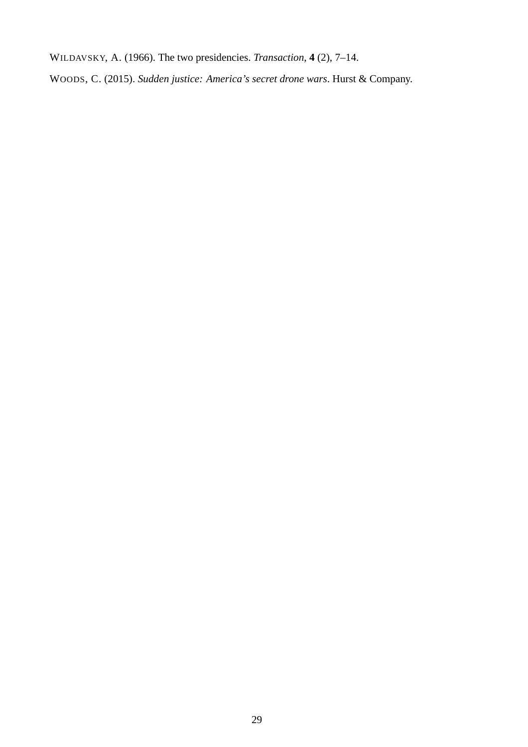<span id="page-30-0"></span>WILDAVSKY, A. (1966). The two presidencies. *Transaction*, **4** (2), 7–14.

WOODS, C. (2015). *Sudden justice: America's secret drone wars*. Hurst & Company.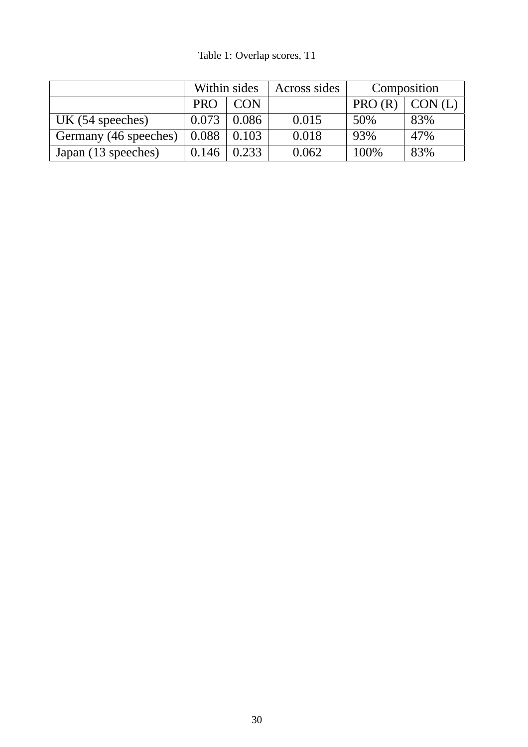## Table 1: Overlap scores, T1

|                       | Within sides |       | Across sides | Composition |        |
|-----------------------|--------------|-------|--------------|-------------|--------|
|                       | <b>PRO</b>   | CON   |              | PRO(R)      | CON(L) |
| UK $(54$ speeches)    | 0.073        | 0.086 | 0.015        | 50%         | 83%    |
| Germany (46 speeches) | 0.088        | 0.103 | 0.018        | 93%         | 47%    |
| Japan (13 speeches)   | 0.146        | 0.233 | 0.062        | 100%        | 83%    |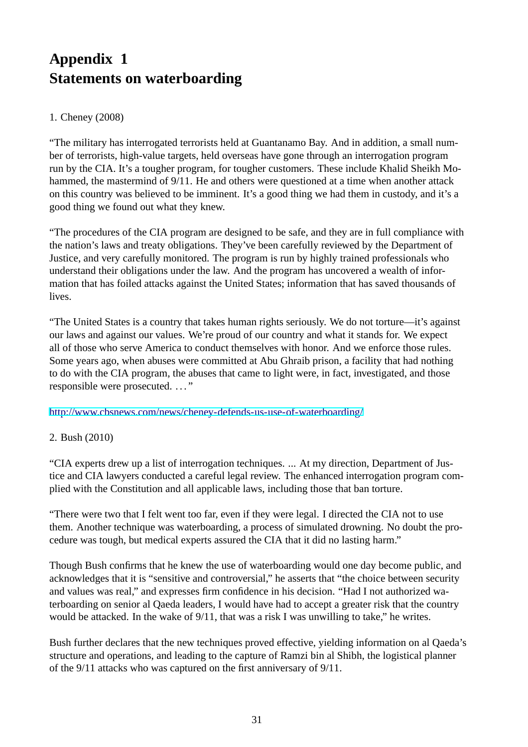# **Appendix 1 Statements on waterboarding**

#### 1. Cheney (2008)

"The military has interrogated terrorists held at Guantanamo Bay. And in addition, a small number of terrorists, high-value targets, held overseas have gone through an interrogation program run by the CIA. It's a tougher program, for tougher customers. These include Khalid Sheikh Mohammed, the mastermind of 9/11. He and others were questioned at a time when another attack on this country was believed to be imminent. It's a good thing we had them in custody, and it's a good thing we found out what they knew.

"The procedures of the CIA program are designed to be safe, and they are in full compliance with the nation's laws and treaty obligations. They've been carefully reviewed by the Department of Justice, and very carefully monitored. The program is run by highly trained professionals who understand their obligations under the law. And the program has uncovered a wealth of information that has foiled attacks against the United States; information that has saved thousands of lives.

"The United States is a country that takes human rights seriously. We do not torture—it's against our laws and against our values. We're proud of our country and what it stands for. We expect all of those who serve America to conduct themselves with honor. And we enforce those rules. Some years ago, when abuses were committed at Abu Ghraib prison, a facility that had nothing to do with the CIA program, the abuses that came to light were, in fact, investigated, and those responsible were prosecuted. . . . "

#### http://www.cbsnews.com/news/cheney-defends-us-use-of-waterboarding/

#### 2. Bush (2010)

["CIA](http://www.cbsnews.com/news/cheney-defends-us-use-of-waterboarding/) [experts](http://www.cbsnews.com/news/cheney-defends-us-use-of-waterboarding/) [drew](http://www.cbsnews.com/news/cheney-defends-us-use-of-waterboarding/) [up](http://www.cbsnews.com/news/cheney-defends-us-use-of-waterboarding/) [a](http://www.cbsnews.com/news/cheney-defends-us-use-of-waterboarding/) [list](http://www.cbsnews.com/news/cheney-defends-us-use-of-waterboarding/) [of](http://www.cbsnews.com/news/cheney-defends-us-use-of-waterboarding/) [interrogation](http://www.cbsnews.com/news/cheney-defends-us-use-of-waterboarding/) [techniques.](http://www.cbsnews.com/news/cheney-defends-us-use-of-waterboarding/) [...](http://www.cbsnews.com/news/cheney-defends-us-use-of-waterboarding/) [At](http://www.cbsnews.com/news/cheney-defends-us-use-of-waterboarding/) [my](http://www.cbsnews.com/news/cheney-defends-us-use-of-waterboarding/) [direction](http://www.cbsnews.com/news/cheney-defends-us-use-of-waterboarding/), Department of Justice and CIA lawyers conducted a careful legal review. The enhanced interrogation program complied with the Constitution and all applicable laws, including those that ban torture.

"There were two that I felt went too far, even if they were legal. I directed the CIA not to use them. Another technique was waterboarding, a process of simulated drowning. No doubt the procedure was tough, but medical experts assured the CIA that it did no lasting harm."

Though Bush confirms that he knew the use of waterboarding would one day become public, and acknowledges that it is "sensitive and controversial," he asserts that "the choice between security and values was real," and expresses firm confidence in his decision. "Had I not authorized waterboarding on senior al Qaeda leaders, I would have had to accept a greater risk that the country would be attacked. In the wake of 9/11, that was a risk I was unwilling to take," he writes.

Bush further declares that the new techniques proved effective, yielding information on al Qaeda's structure and operations, and leading to the capture of Ramzi bin al Shibh, the logistical planner of the 9/11 attacks who was captured on the first anniversary of 9/11.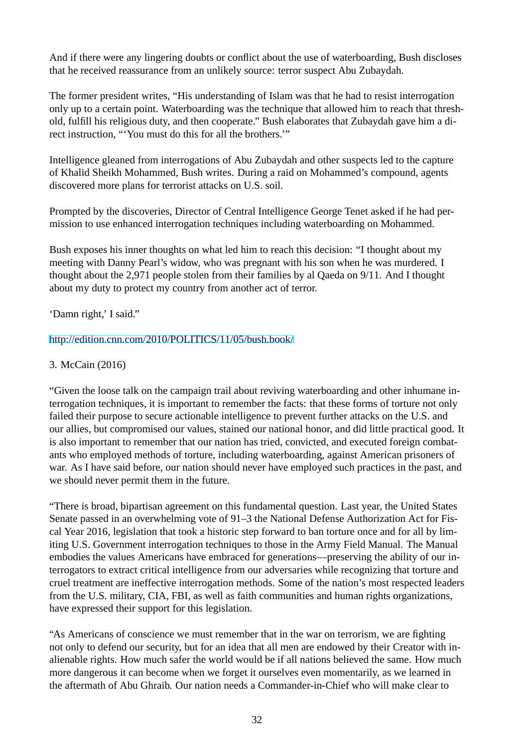And if there were any lingering doubts or conflict about the use of waterboarding, Bush discloses that he received reassurance from an unlikely source: terror suspect Abu Zubaydah.

The former president writes, "His understanding of Islam was that he had to resist interrogation only up to a certain point. Waterboarding was the technique that allowed him to reach that threshold, fulfill his religious duty, and then cooperate." Bush elaborates that Zubaydah gave him a direct instruction, "'You must do this for all the brothers.'"

Intelligence gleaned from interrogations of Abu Zubaydah and other suspects led to the capture of Khalid Sheikh Mohammed, Bush writes. During a raid on Mohammed's compound, agents discovered more plans for terrorist attacks on U.S. soil.

Prompted by the discoveries, Director of Central Intelligence George Tenet asked if he had permission to use enhanced interrogation techniques including waterboarding on Mohammed.

Bush exposes his inner thoughts on what led him to reach this decision: "I thought about my meeting with Danny Pearl's widow, who was pregnant with his son when he was murdered. I thought about the 2,971 people stolen from their families by al Qaeda on 9/11. And I thought about my duty to protect my country from another act of terror.

'Damn right,' I said."

http://edition.cnn.com/2010/POLITICS/11/05/bush.book/

3. McCain (2016)

["Given](http://edition.cnn.com/2010/POLITICS/11/05/bush.book/) [the](http://edition.cnn.com/2010/POLITICS/11/05/bush.book/) [loose](http://edition.cnn.com/2010/POLITICS/11/05/bush.book/) [talk](http://edition.cnn.com/2010/POLITICS/11/05/bush.book/) [on](http://edition.cnn.com/2010/POLITICS/11/05/bush.book/) [the](http://edition.cnn.com/2010/POLITICS/11/05/bush.book/) [campaign](http://edition.cnn.com/2010/POLITICS/11/05/bush.book/) [trail](http://edition.cnn.com/2010/POLITICS/11/05/bush.book/) [about](http://edition.cnn.com/2010/POLITICS/11/05/bush.book/) [reviving](http://edition.cnn.com/2010/POLITICS/11/05/bush.book/) waterboarding and other inhumane interrogation techniques, it is important to remember the facts: that these forms of torture not only failed their purpose to secure actionable intelligence to prevent further attacks on the U.S. and our allies, but compromised our values, stained our national honor, and did little practical good. It is also important to remember that our nation has tried, convicted, and executed foreign combatants who employed methods of torture, including waterboarding, against American prisoners of war. As I have said before, our nation should never have employed such practices in the past, and we should never permit them in the future.

"There is broad, bipartisan agreement on this fundamental question. Last year, the United States Senate passed in an overwhelming vote of 91–3 the National Defense Authorization Act for Fiscal Year 2016, legislation that took a historic step forward to ban torture once and for all by limiting U.S. Government interrogation techniques to those in the Army Field Manual. The Manual embodies the values Americans have embraced for generations—preserving the ability of our interrogators to extract critical intelligence from our adversaries while recognizing that torture and cruel treatment are ineffective interrogation methods. Some of the nation's most respected leaders from the U.S. military, CIA, FBI, as well as faith communities and human rights organizations, have expressed their support for this legislation.

"As Americans of conscience we must remember that in the war on terrorism, we are fighting not only to defend our security, but for an idea that all men are endowed by their Creator with inalienable rights. How much safer the world would be if all nations believed the same. How much more dangerous it can become when we forget it ourselves even momentarily, as we learned in the aftermath of Abu Ghraib. Our nation needs a Commander-in-Chief who will make clear to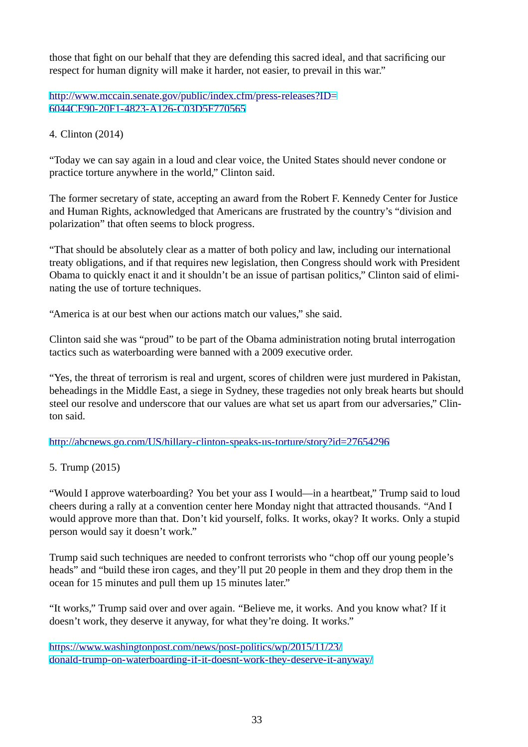those that fight on our behalf that they are defending this sacred ideal, and that sacrificing our respect for human dignity will make it harder, not easier, to prevail in this war."

http://www.mccain.senate.gov/public/index.cfm/press-releases?ID= 6044CE90-20F1-4823-A126-C03D5F770565

[4. Clinton \(2014\)](http://www.mccain.senate.gov/public/index.cfm/press-releases?ID=6044CE90-20F1-4823-A126-C03D5F770565)

["Today](http://www.mccain.senate.gov/public/index.cfm/press-releases?ID=6044CE90-20F1-4823-A126-C03D5F770565) [we](http://www.mccain.senate.gov/public/index.cfm/press-releases?ID=6044CE90-20F1-4823-A126-C03D5F770565) [can](http://www.mccain.senate.gov/public/index.cfm/press-releases?ID=6044CE90-20F1-4823-A126-C03D5F770565) [say](http://www.mccain.senate.gov/public/index.cfm/press-releases?ID=6044CE90-20F1-4823-A126-C03D5F770565) [again](http://www.mccain.senate.gov/public/index.cfm/press-releases?ID=6044CE90-20F1-4823-A126-C03D5F770565) [in](http://www.mccain.senate.gov/public/index.cfm/press-releases?ID=6044CE90-20F1-4823-A126-C03D5F770565) [a](http://www.mccain.senate.gov/public/index.cfm/press-releases?ID=6044CE90-20F1-4823-A126-C03D5F770565) [loud](http://www.mccain.senate.gov/public/index.cfm/press-releases?ID=6044CE90-20F1-4823-A126-C03D5F770565) [and](http://www.mccain.senate.gov/public/index.cfm/press-releases?ID=6044CE90-20F1-4823-A126-C03D5F770565) [clear](http://www.mccain.senate.gov/public/index.cfm/press-releases?ID=6044CE90-20F1-4823-A126-C03D5F770565) [vo](http://www.mccain.senate.gov/public/index.cfm/press-releases?ID=6044CE90-20F1-4823-A126-C03D5F770565)ice, the United States should never condone or practice torture anywhere in the world," Clinton said.

The former secretary of state, accepting an award from the Robert F. Kennedy Center for Justice and Human Rights, acknowledged that Americans are frustrated by the country's "division and polarization" that often seems to block progress.

"That should be absolutely clear as a matter of both policy and law, including our international treaty obligations, and if that requires new legislation, then Congress should work with President Obama to quickly enact it and it shouldn't be an issue of partisan politics," Clinton said of eliminating the use of torture techniques.

"America is at our best when our actions match our values," she said.

Clinton said she was "proud" to be part of the Obama administration noting brutal interrogation tactics such as waterboarding were banned with a 2009 executive order.

"Yes, the threat of terrorism is real and urgent, scores of children were just murdered in Pakistan, beheadings in the Middle East, a siege in Sydney, these tragedies not only break hearts but should steel our resolve and underscore that our values are what set us apart from our adversaries," Clinton said.

http://abcnews.go.com/US/hillary-clinton-speaks-us-torture/story?id=27654296

#### 5. Trump (2015)

["Would](http://abcnews.go.com/US/hillary-clinton-speaks-us-torture/story?id=27654296) [I](http://abcnews.go.com/US/hillary-clinton-speaks-us-torture/story?id=27654296) [approve](http://abcnews.go.com/US/hillary-clinton-speaks-us-torture/story?id=27654296) [waterboarding?](http://abcnews.go.com/US/hillary-clinton-speaks-us-torture/story?id=27654296) [You](http://abcnews.go.com/US/hillary-clinton-speaks-us-torture/story?id=27654296) [bet](http://abcnews.go.com/US/hillary-clinton-speaks-us-torture/story?id=27654296) [your](http://abcnews.go.com/US/hillary-clinton-speaks-us-torture/story?id=27654296) [ass](http://abcnews.go.com/US/hillary-clinton-speaks-us-torture/story?id=27654296) [I](http://abcnews.go.com/US/hillary-clinton-speaks-us-torture/story?id=27654296) [would—in](http://abcnews.go.com/US/hillary-clinton-speaks-us-torture/story?id=27654296) [a](http://abcnews.go.com/US/hillary-clinton-speaks-us-torture/story?id=27654296) [heartbeat,"](http://abcnews.go.com/US/hillary-clinton-speaks-us-torture/story?id=27654296) [Tru](http://abcnews.go.com/US/hillary-clinton-speaks-us-torture/story?id=27654296)mp said to loud cheers during a rally at a convention center here Monday night that attracted thousands. "And I would approve more than that. Don't kid yourself, folks. It works, okay? It works. Only a stupid person would say it doesn't work."

Trump said such techniques are needed to confront terrorists who "chop off our young people's heads" and "build these iron cages, and they'll put 20 people in them and they drop them in the ocean for 15 minutes and pull them up 15 minutes later."

"It works," Trump said over and over again. "Believe me, it works. And you know what? If it doesn't work, they deserve it anyway, for what they're doing. It works."

https://www.washingtonpost.com/news/post-politics/wp/2015/11/23/ donald-trump-on-waterboarding-if-it-doesnt-work-they-deserve-it-anyway/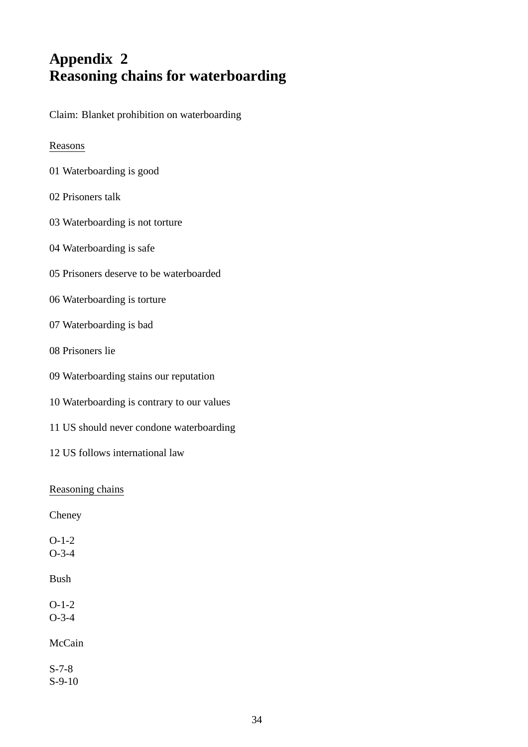# **Appendix 2 Reasoning chains for waterboarding**

Claim: Blanket prohibition on waterboarding

#### Reasons

- 01 Waterboarding is good
- 02 Prisoners talk
- 03 Waterboarding is not torture
- 04 Waterboarding is safe
- 05 Prisoners deserve to be waterboarded
- 06 Waterboarding is torture
- 07 Waterboarding is bad
- 08 Prisoners lie
- 09 Waterboarding stains our reputation
- 10 Waterboarding is contrary to our values
- 11 US should never condone waterboarding
- 12 US follows international law

#### Reasoning chains

Cheney

O-1-2

O-3-4

#### Bush

O-1-2 O-3-4

McCain

S-7-8 S-9-10